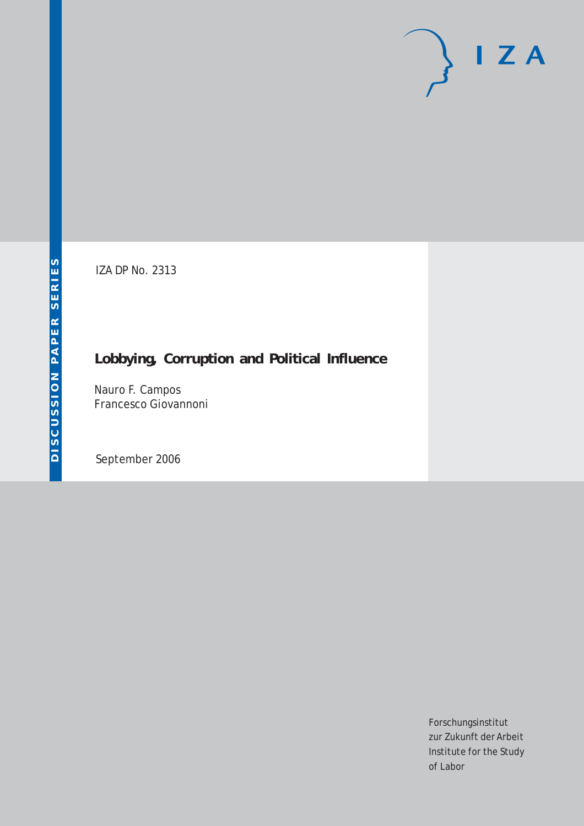# $I Z A$

IZA DP No. 2313

### **Lobbying, Corruption and Political Influence**

Nauro F. Campos Francesco Giovannoni

September 2006

Forschungsinstitut zur Zukunft der Arbeit Institute for the Study of Labor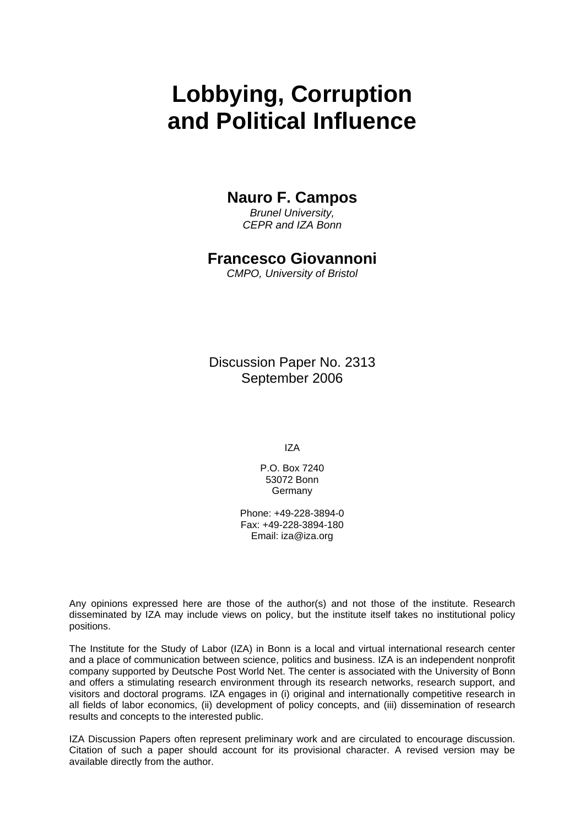# **Lobbying, Corruption and Political Influence**

#### **Nauro F. Campos**

*Brunel University, CEPR and IZA Bonn* 

#### **Francesco Giovannoni**

*CMPO, University of Bristol* 

Discussion Paper No. 2313 September 2006

IZA

P.O. Box 7240 53072 Bonn Germany

Phone: +49-228-3894-0 Fax: +49-228-3894-180 Email: [iza@iza.org](mailto:iza@iza.org)

Any opinions expressed here are those of the author(s) and not those of the institute. Research disseminated by IZA may include views on policy, but the institute itself takes no institutional policy positions.

The Institute for the Study of Labor (IZA) in Bonn is a local and virtual international research center and a place of communication between science, politics and business. IZA is an independent nonprofit company supported by Deutsche Post World Net. The center is associated with the University of Bonn and offers a stimulating research environment through its research networks, research support, and visitors and doctoral programs. IZA engages in (i) original and internationally competitive research in all fields of labor economics, (ii) development of policy concepts, and (iii) dissemination of research results and concepts to the interested public.

IZA Discussion Papers often represent preliminary work and are circulated to encourage discussion. Citation of such a paper should account for its provisional character. A revised version may be available directly from the author.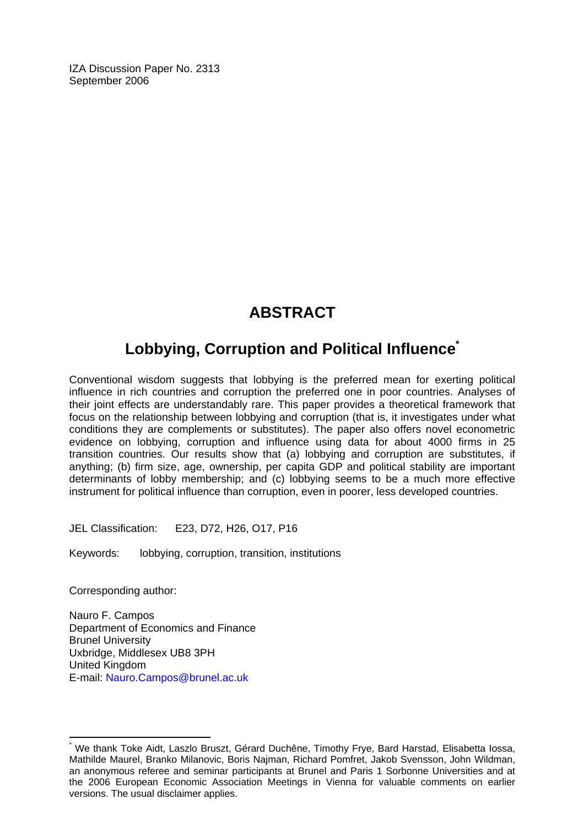IZA Discussion Paper No. 2313 September 2006

# **ABSTRACT**

## **Lobbying, Corruption and Political Influence[\\*](#page-2-0)**

Conventional wisdom suggests that lobbying is the preferred mean for exerting political influence in rich countries and corruption the preferred one in poor countries. Analyses of their joint effects are understandably rare. This paper provides a theoretical framework that focus on the relationship between lobbying and corruption (that is, it investigates under what conditions they are complements or substitutes). The paper also offers novel econometric evidence on lobbying, corruption and influence using data for about 4000 firms in 25 transition countries. Our results show that (a) lobbying and corruption are substitutes, if anything; (b) firm size, age, ownership, per capita GDP and political stability are important determinants of lobby membership; and (c) lobbying seems to be a much more effective instrument for political influence than corruption, even in poorer, less developed countries.

JEL Classification: E23, D72, H26, O17, P16

Keywords: lobbying, corruption, transition, institutions

Corresponding author:

 $\overline{a}$ 

Nauro F. Campos Department of Economics and Finance Brunel University Uxbridge, Middlesex UB8 3PH United Kingdom E-mail: [Nauro.Campos@brunel.ac.uk](mailto:Nauro.Campos@brunel.ac.uk) 

<span id="page-2-0"></span><sup>\*</sup> We thank Toke Aidt, Laszlo Bruszt, Gérard Duchêne, Timothy Frye, Bard Harstad, Elisabetta Iossa, Mathilde Maurel, Branko Milanovic, Boris Najman, Richard Pomfret, Jakob Svensson, John Wildman, an anonymous referee and seminar participants at Brunel and Paris 1 Sorbonne Universities and at the 2006 European Economic Association Meetings in Vienna for valuable comments on earlier versions. The usual disclaimer applies.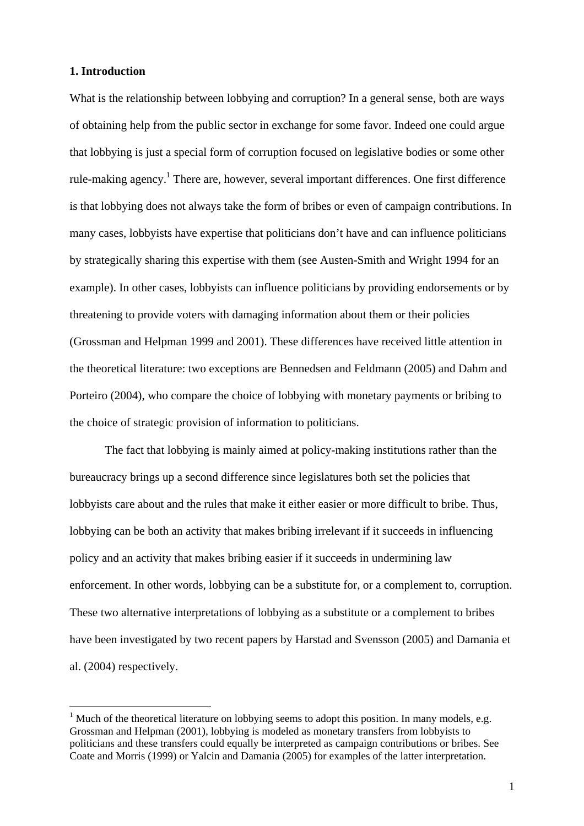#### **1. Introduction**

 $\overline{a}$ 

What is the relationship between lobbying and corruption? In a general sense, both are ways of obtaining help from the public sector in exchange for some favor. Indeed one could argue that lobbying is just a special form of corruption focused on legislative bodies or some other rule-making agency.<sup>[1](#page-3-0)</sup> There are, however, several important differences. One first difference is that lobbying does not always take the form of bribes or even of campaign contributions. In many cases, lobbyists have expertise that politicians don't have and can influence politicians by strategically sharing this expertise with them (see Austen-Smith and Wright 1994 for an example). In other cases, lobbyists can influence politicians by providing endorsements or by threatening to provide voters with damaging information about them or their policies (Grossman and Helpman 1999 and 2001). These differences have received little attention in the theoretical literature: two exceptions are Bennedsen and Feldmann (2005) and Dahm and Porteiro (2004), who compare the choice of lobbying with monetary payments or bribing to the choice of strategic provision of information to politicians.

The fact that lobbying is mainly aimed at policy-making institutions rather than the bureaucracy brings up a second difference since legislatures both set the policies that lobbyists care about and the rules that make it either easier or more difficult to bribe. Thus, lobbying can be both an activity that makes bribing irrelevant if it succeeds in influencing policy and an activity that makes bribing easier if it succeeds in undermining law enforcement. In other words, lobbying can be a substitute for, or a complement to, corruption. These two alternative interpretations of lobbying as a substitute or a complement to bribes have been investigated by two recent papers by Harstad and Svensson (2005) and Damania et al. (2004) respectively.

<span id="page-3-0"></span> $<sup>1</sup>$  Much of the theoretical literature on lobbying seems to adopt this position. In many models, e.g.</sup> Grossman and Helpman (2001), lobbying is modeled as monetary transfers from lobbyists to politicians and these transfers could equally be interpreted as campaign contributions or bribes. See Coate and Morris (1999) or Yalcin and Damania (2005) for examples of the latter interpretation.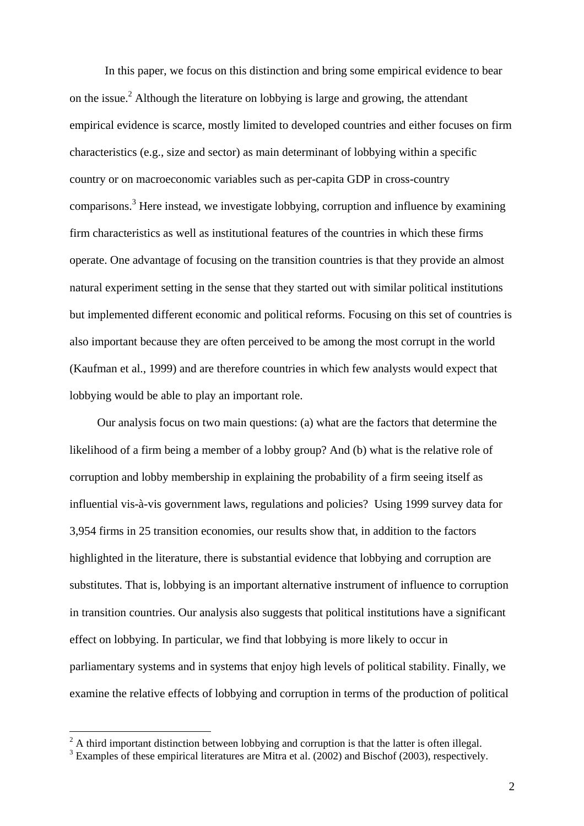In this paper, we focus on this distinction and bring some empirical evidence to bear on the issue. [2](#page-4-0) Although the literature on lobbying is large and growing, the attendant empirical evidence is scarce, mostly limited to developed countries and either focuses on firm characteristics (e.g., size and sector) as main determinant of lobbying within a specific country or on macroeconomic variables such as per-capita GDP in cross-country comparisons.<sup>3</sup> Here instead, we investigate lobbying, corruption and influence by examining firm characteristics as well as institutional features of the countries in which these firms operate. One advantage of focusing on the transition countries is that they provide an almost natural experiment setting in the sense that they started out with similar political institutions but implemented different economic and political reforms. Focusing on this set of countries is also important because they are often perceived to be among the most corrupt in the world (Kaufman et al., 1999) and are therefore countries in which few analysts would expect that lobbying would be able to play an important role.

Our analysis focus on two main questions: (a) what are the factors that determine the likelihood of a firm being a member of a lobby group? And (b) what is the relative role of corruption and lobby membership in explaining the probability of a firm seeing itself as influential vis-à-vis government laws, regulations and policies? Using 1999 survey data for 3,954 firms in 25 transition economies, our results show that, in addition to the factors highlighted in the literature, there is substantial evidence that lobbying and corruption are substitutes. That is, lobbying is an important alternative instrument of influence to corruption in transition countries. Our analysis also suggests that political institutions have a significant effect on lobbying. In particular, we find that lobbying is more likely to occur in parliamentary systems and in systems that enjoy high levels of political stability. Finally, we examine the relative effects of lobbying and corruption in terms of the production of political

<span id="page-4-0"></span><sup>&</sup>lt;sup>2</sup> A third important distinction between lobbying and corruption is that the latter is often illegal.<br><sup>3</sup> Examples of these empirical literatures are Mitra et al. (2002) and Bischof (2003), respectively.

<span id="page-4-1"></span>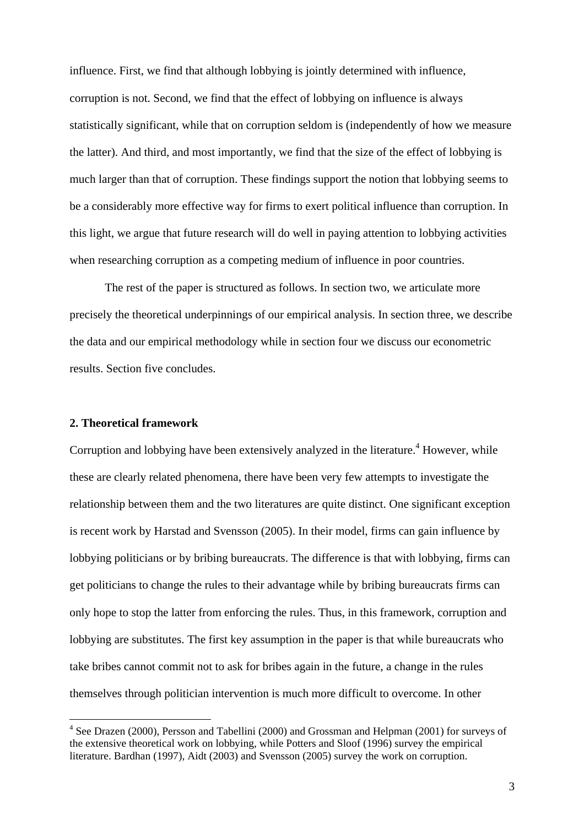influence. First, we find that although lobbying is jointly determined with influence, corruption is not. Second, we find that the effect of lobbying on influence is always statistically significant, while that on corruption seldom is (independently of how we measure the latter). And third, and most importantly, we find that the size of the effect of lobbying is much larger than that of corruption. These findings support the notion that lobbying seems to be a considerably more effective way for firms to exert political influence than corruption. In this light, we argue that future research will do well in paying attention to lobbying activities when researching corruption as a competing medium of influence in poor countries.

The rest of the paper is structured as follows. In section two, we articulate more precisely the theoretical underpinnings of our empirical analysis. In section three, we describe the data and our empirical methodology while in section four we discuss our econometric results. Section five concludes.

#### **2. Theoretical framework**

 $\overline{a}$ 

Corruption and lobbying have been extensively analyzed in the literature.<sup>4</sup> However, while these are clearly related phenomena, there have been very few attempts to investigate the relationship between them and the two literatures are quite distinct. One significant exception is recent work by Harstad and Svensson (2005). In their model, firms can gain influence by lobbying politicians or by bribing bureaucrats. The difference is that with lobbying, firms can get politicians to change the rules to their advantage while by bribing bureaucrats firms can only hope to stop the latter from enforcing the rules. Thus, in this framework, corruption and lobbying are substitutes. The first key assumption in the paper is that while bureaucrats who take bribes cannot commit not to ask for bribes again in the future, a change in the rules themselves through politician intervention is much more difficult to overcome. In other

<span id="page-5-0"></span><sup>&</sup>lt;sup>4</sup> See Drazen (2000), Persson and Tabellini (2000) and Grossman and Helpman (2001) for surveys of the extensive theoretical work on lobbying, while Potters and Sloof (1996) survey the empirical literature. Bardhan (1997), Aidt (2003) and Svensson (2005) survey the work on corruption.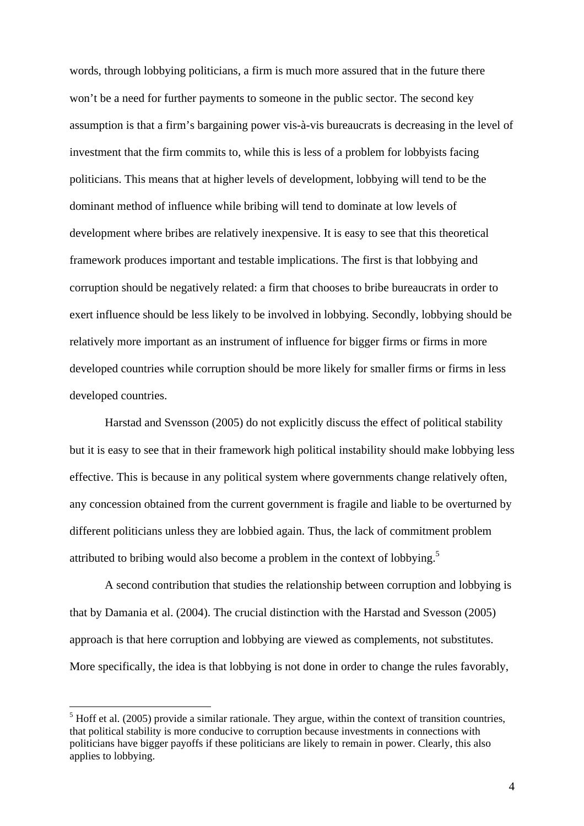words, through lobbying politicians, a firm is much more assured that in the future there won't be a need for further payments to someone in the public sector. The second key assumption is that a firm's bargaining power vis-à-vis bureaucrats is decreasing in the level of investment that the firm commits to, while this is less of a problem for lobbyists facing politicians. This means that at higher levels of development, lobbying will tend to be the dominant method of influence while bribing will tend to dominate at low levels of development where bribes are relatively inexpensive. It is easy to see that this theoretical framework produces important and testable implications. The first is that lobbying and corruption should be negatively related: a firm that chooses to bribe bureaucrats in order to exert influence should be less likely to be involved in lobbying. Secondly, lobbying should be relatively more important as an instrument of influence for bigger firms or firms in more developed countries while corruption should be more likely for smaller firms or firms in less developed countries.

Harstad and Svensson (2005) do not explicitly discuss the effect of political stability but it is easy to see that in their framework high political instability should make lobbying less effective. This is because in any political system where governments change relatively often, any concession obtained from the current government is fragile and liable to be overturned by different politicians unless they are lobbied again. Thus, the lack of commitment problem attributed to bribing would also become a problem in the context of lobbying.[5](#page-6-0)

A second contribution that studies the relationship between corruption and lobbying is that by Damania et al. (2004). The crucial distinction with the Harstad and Svesson (2005) approach is that here corruption and lobbying are viewed as complements, not substitutes. More specifically, the idea is that lobbying is not done in order to change the rules favorably,

<span id="page-6-0"></span> $<sup>5</sup>$  Hoff et al. (2005) provide a similar rationale. They argue, within the context of transition countries,</sup> that political stability is more conducive to corruption because investments in connections with politicians have bigger payoffs if these politicians are likely to remain in power. Clearly, this also applies to lobbying.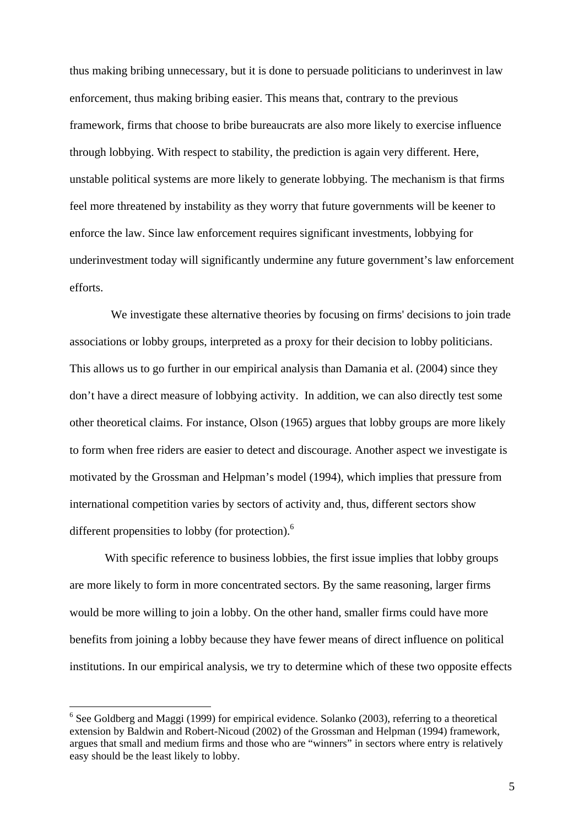thus making bribing unnecessary, but it is done to persuade politicians to underinvest in law enforcement, thus making bribing easier. This means that, contrary to the previous framework, firms that choose to bribe bureaucrats are also more likely to exercise influence through lobbying. With respect to stability, the prediction is again very different. Here, unstable political systems are more likely to generate lobbying. The mechanism is that firms feel more threatened by instability as they worry that future governments will be keener to enforce the law. Since law enforcement requires significant investments, lobbying for underinvestment today will significantly undermine any future government's law enforcement efforts.

 We investigate these alternative theories by focusing on firms' decisions to join trade associations or lobby groups, interpreted as a proxy for their decision to lobby politicians. This allows us to go further in our empirical analysis than Damania et al. (2004) since they don't have a direct measure of lobbying activity. In addition, we can also directly test some other theoretical claims. For instance, Olson (1965) argues that lobby groups are more likely to form when free riders are easier to detect and discourage. Another aspect we investigate is motivated by the Grossman and Helpman's model (1994), which implies that pressure from international competition varies by sectors of activity and, thus, different sectors show different propensities to lobby (for protection). $<sup>6</sup>$ </sup>

With specific reference to business lobbies, the first issue implies that lobby groups are more likely to form in more concentrated sectors. By the same reasoning, larger firms would be more willing to join a lobby. On the other hand, smaller firms could have more benefits from joining a lobby because they have fewer means of direct influence on political institutions. In our empirical analysis, we try to determine which of these two opposite effects

<span id="page-7-0"></span><sup>&</sup>lt;sup>6</sup> See Goldberg and Maggi (1999) for empirical evidence. Solanko (2003), referring to a theoretical extension by Baldwin and Robert-Nicoud (2002) of the Grossman and Helpman (1994) framework, argues that small and medium firms and those who are "winners" in sectors where entry is relatively easy should be the least likely to lobby.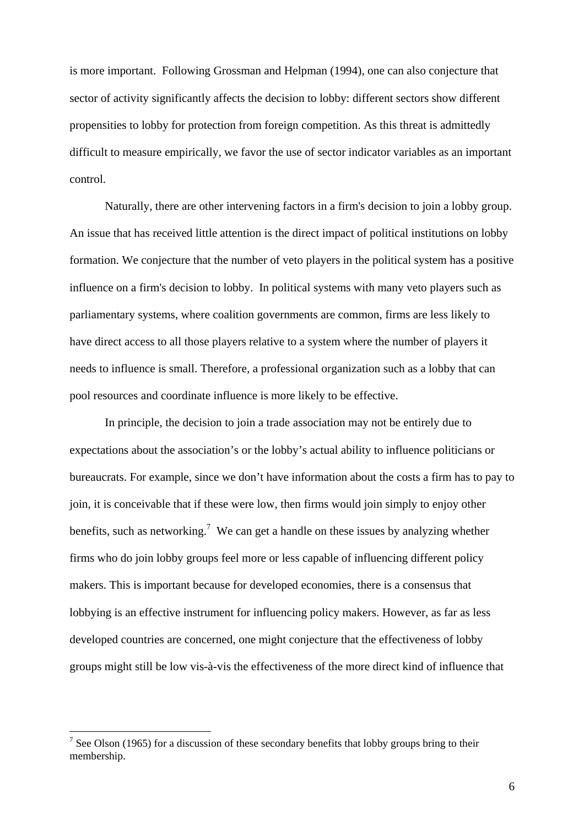is more important. Following Grossman and Helpman (1994), one can also conjecture that sector of activity significantly affects the decision to lobby: different sectors show different propensities to lobby for protection from foreign competition. As this threat is admittedly difficult to measure empirically, we favor the use of sector indicator variables as an important control.

Naturally, there are other intervening factors in a firm's decision to join a lobby group. An issue that has received little attention is the direct impact of political institutions on lobby formation. We conjecture that the number of veto players in the political system has a positive influence on a firm's decision to lobby. In political systems with many veto players such as parliamentary systems, where coalition governments are common, firms are less likely to have direct access to all those players relative to a system where the number of players it needs to influence is small. Therefore, a professional organization such as a lobby that can pool resources and coordinate influence is more likely to be effective.

In principle, the decision to join a trade association may not be entirely due to expectations about the association's or the lobby's actual ability to influence politicians or bureaucrats. For example, since we don't have information about the costs a firm has to pay to join, it is conceivable that if these were low, then firms would join simply to enjoy other benefits, such as networking.<sup>[7](#page-8-0)</sup> We can get a handle on these issues by analyzing whether firms who do join lobby groups feel more or less capable of influencing different policy makers. This is important because for developed economies, there is a consensus that lobbying is an effective instrument for influencing policy makers. However, as far as less developed countries are concerned, one might conjecture that the effectiveness of lobby groups might still be low vis-à-vis the effectiveness of the more direct kind of influence that

<span id="page-8-0"></span><sup>&</sup>lt;sup>7</sup> See Olson (1965) for a discussion of these secondary benefits that lobby groups bring to their membership.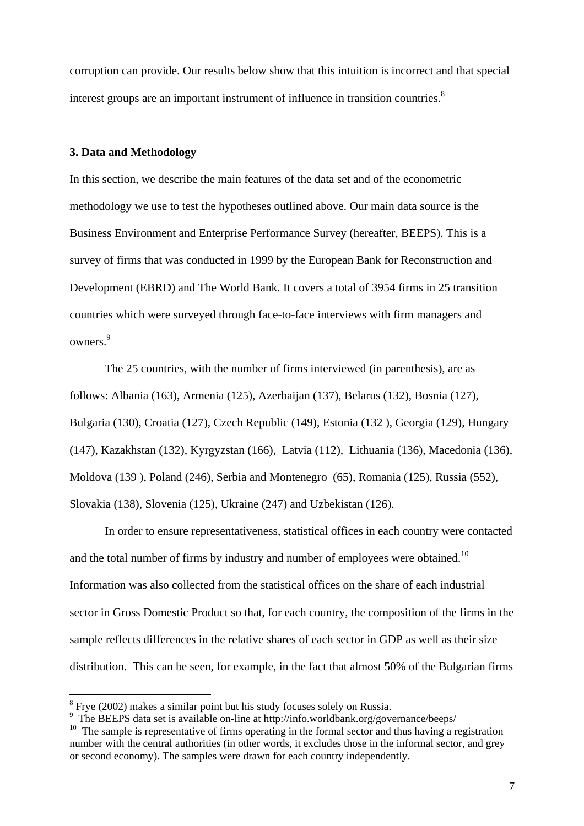corruption can provide. Our results below show that this intuition is incorrect and that special interest groups are an important instrument of influence in transition countries.<sup>8</sup>

#### **3. Data and Methodology**

In this section, we describe the main features of the data set and of the econometric methodology we use to test the hypotheses outlined above. Our main data source is the Business Environment and Enterprise Performance Survey (hereafter, BEEPS). This is a survey of firms that was conducted in 1999 by the European Bank for Reconstruction and Development (EBRD) and The World Bank. It covers a total of 3954 firms in 25 transition countries which were surveyed through face-to-face interviews with firm managers and owners.[9](#page-9-1)

The 25 countries, with the number of firms interviewed (in parenthesis), are as follows: Albania (163), Armenia (125), Azerbaijan (137), Belarus (132), Bosnia (127), Bulgaria (130), Croatia (127), Czech Republic (149), Estonia (132 ), Georgia (129), Hungary (147), Kazakhstan (132), Kyrgyzstan (166), Latvia (112), Lithuania (136), Macedonia (136), Moldova (139 ), Poland (246), Serbia and Montenegro (65), Romania (125), Russia (552), Slovakia (138), Slovenia (125), Ukraine (247) and Uzbekistan (126).

In order to ensure representativeness, statistical offices in each country were contacted and the total number of firms by industry and number of employees were obtained.<sup>10</sup> Information was also collected from the statistical offices on the share of each industrial sector in Gross Domestic Product so that, for each country, the composition of the firms in the sample reflects differences in the relative shares of each sector in GDP as well as their size distribution. This can be seen, for example, in the fact that almost 50% of the Bulgarian firms

<span id="page-9-0"></span> $8$  Frye (2002) makes a similar point but his study focuses solely on Russia.

<span id="page-9-1"></span><sup>&</sup>lt;sup>9</sup> The BEEPS data set is available on-line at http://info.worldbank.org/governance/beeps/

<span id="page-9-2"></span> $10$  The sample is representative of firms operating in the formal sector and thus having a registration number with the central authorities (in other words, it excludes those in the informal sector, and grey or second economy). The samples were drawn for each country independently.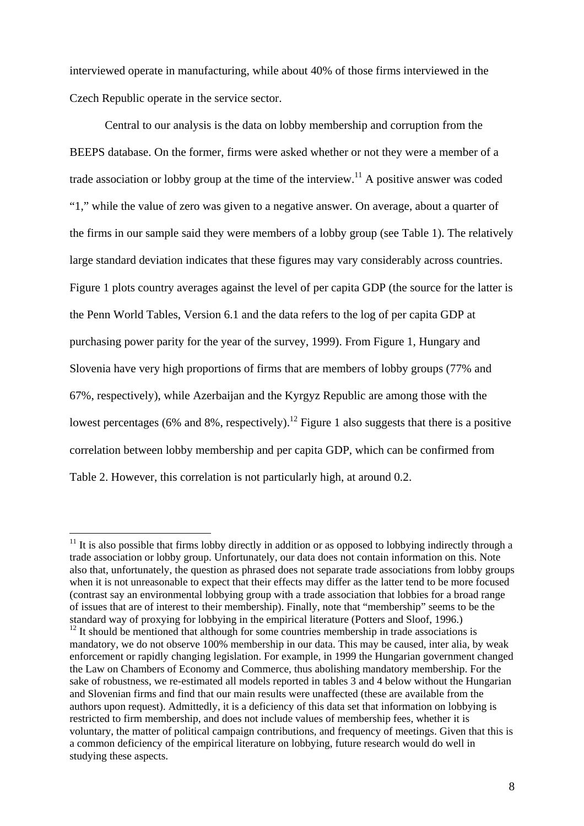interviewed operate in manufacturing, while about 40% of those firms interviewed in the Czech Republic operate in the service sector.

Central to our analysis is the data on lobby membership and corruption from the BEEPS database. On the former, firms were asked whether or not they were a member of a trade association or lobby group at the time of the interview.<sup>11</sup> A positive answer was coded "1," while the value of zero was given to a negative answer. On average, about a quarter of the firms in our sample said they were members of a lobby group (see Table 1). The relatively large standard deviation indicates that these figures may vary considerably across countries. Figure 1 plots country averages against the level of per capita GDP (the source for the latter is the Penn World Tables, Version 6.1 and the data refers to the log of per capita GDP at purchasing power parity for the year of the survey, 1999). From Figure 1, Hungary and Slovenia have very high proportions of firms that are members of lobby groups (77% and 67%, respectively), while Azerbaijan and the Kyrgyz Republic are among those with the lowest percentages (6% and 8%, respectively).<sup>12</sup> Figure 1 also suggests that there is a positive correlation between lobby membership and per capita GDP, which can be confirmed from Table 2. However, this correlation is not particularly high, at around 0.2.

<span id="page-10-1"></span><span id="page-10-0"></span> $11$  It is also possible that firms lobby directly in addition or as opposed to lobbying indirectly through a trade association or lobby group. Unfortunately, our data does not contain information on this. Note also that, unfortunately, the question as phrased does not separate trade associations from lobby groups when it is not unreasonable to expect that their effects may differ as the latter tend to be more focused (contrast say an environmental lobbying group with a trade association that lobbies for a broad range of issues that are of interest to their membership). Finally, note that "membership" seems to be the standard way of proxying for lobbying in the empirical literature (Potters and Sloof, 1996.)<br><sup>12</sup> It should be mentioned that although for some countries membership in trade associations is mandatory, we do not observe 100% membership in our data. This may be caused, inter alia, by weak enforcement or rapidly changing legislation. For example, in 1999 the Hungarian government changed the Law on Chambers of Economy and Commerce, thus abolishing mandatory membership. For the sake of robustness, we re-estimated all models reported in tables 3 and 4 below without the Hungarian and Slovenian firms and find that our main results were unaffected (these are available from the authors upon request). Admittedly, it is a deficiency of this data set that information on lobbying is restricted to firm membership, and does not include values of membership fees, whether it is voluntary, the matter of political campaign contributions, and frequency of meetings. Given that this is a common deficiency of the empirical literature on lobbying, future research would do well in studying these aspects.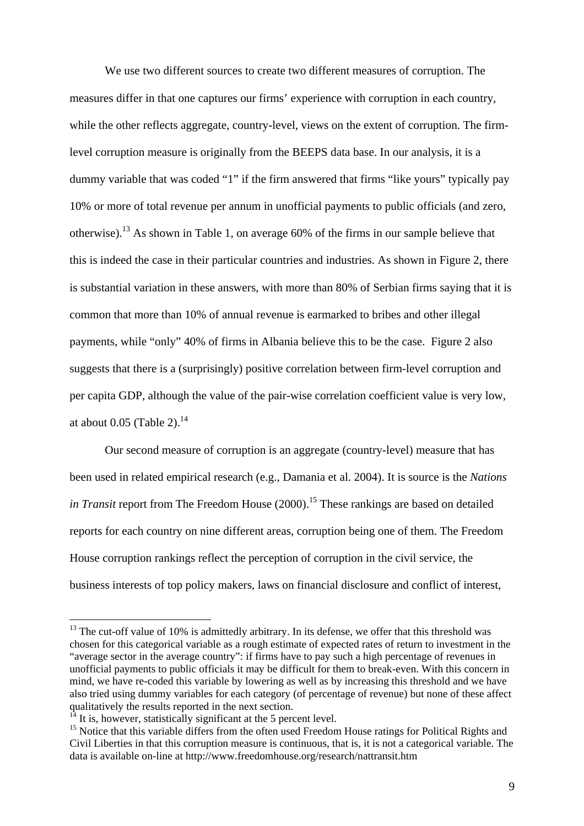We use two different sources to create two different measures of corruption. The measures differ in that one captures our firms' experience with corruption in each country, while the other reflects aggregate, country-level, views on the extent of corruption. The firmlevel corruption measure is originally from the BEEPS data base. In our analysis, it is a dummy variable that was coded "1" if the firm answered that firms "like yours" typically pay 10% or more of total revenue per annum in unofficial payments to public officials (and zero, otherwise)[.13](#page-11-0) As shown in Table 1, on average 60% of the firms in our sample believe that this is indeed the case in their particular countries and industries. As shown in Figure 2, there is substantial variation in these answers, with more than 80% of Serbian firms saying that it is common that more than 10% of annual revenue is earmarked to bribes and other illegal payments, while "only" 40% of firms in Albania believe this to be the case. Figure 2 also suggests that there is a (surprisingly) positive correlation between firm-level corruption and per capita GDP, although the value of the pair-wise correlation coefficient value is very low, at about  $0.05$  (Table 2).<sup>14</sup>

Our second measure of corruption is an aggregate (country-level) measure that has been used in related empirical research (e.g., Damania et al. 2004). It is source is the *Nations in Transit* report from The Freedom House (2000).<sup>15</sup> These rankings are based on detailed reports for each country on nine different areas, corruption being one of them. The Freedom House corruption rankings reflect the perception of corruption in the civil service, the business interests of top policy makers, laws on financial disclosure and conflict of interest,

<span id="page-11-0"></span> $13$  The cut-off value of 10% is admittedly arbitrary. In its defense, we offer that this threshold was chosen for this categorical variable as a rough estimate of expected rates of return to investment in the "average sector in the average country": if firms have to pay such a high percentage of revenues in unofficial payments to public officials it may be difficult for them to break-even. With this concern in mind, we have re-coded this variable by lowering as well as by increasing this threshold and we have also tried using dummy variables for each category (of percentage of revenue) but none of these affect qualitatively the results reported in the next section.

<span id="page-11-1"></span> $<sup>4</sup>$  It is, however, statistically significant at the 5 percent level.</sup>

<span id="page-11-2"></span><sup>&</sup>lt;sup>15</sup> Notice that this variable differs from the often used Freedom House ratings for Political Rights and Civil Liberties in that this corruption measure is continuous, that is, it is not a categorical variable. The data is available on-line at http://www.freedomhouse.org/research/nattransit.htm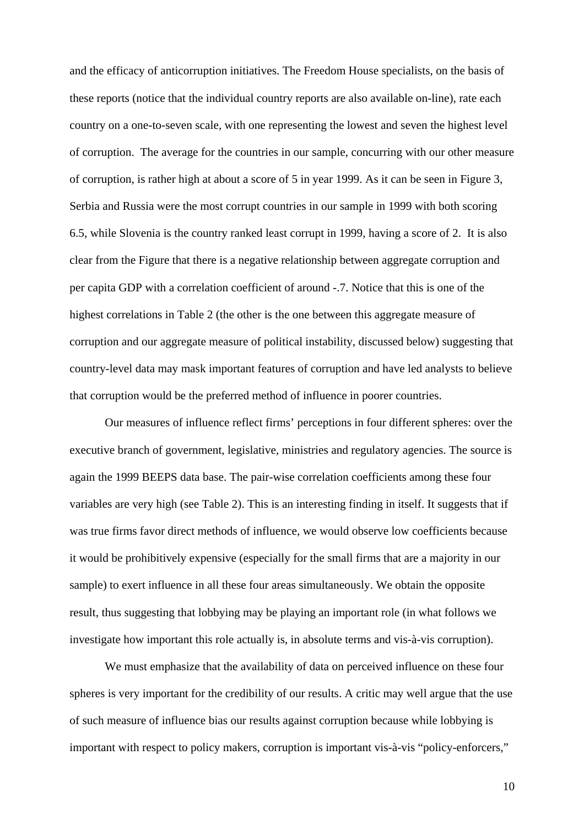and the efficacy of anticorruption initiatives. The Freedom House specialists, on the basis of these reports (notice that the individual country reports are also available on-line), rate each country on a one-to-seven scale, with one representing the lowest and seven the highest level of corruption. The average for the countries in our sample, concurring with our other measure of corruption, is rather high at about a score of 5 in year 1999. As it can be seen in Figure 3, Serbia and Russia were the most corrupt countries in our sample in 1999 with both scoring 6.5, while Slovenia is the country ranked least corrupt in 1999, having a score of 2. It is also clear from the Figure that there is a negative relationship between aggregate corruption and per capita GDP with a correlation coefficient of around -.7. Notice that this is one of the highest correlations in Table 2 (the other is the one between this aggregate measure of corruption and our aggregate measure of political instability, discussed below) suggesting that country-level data may mask important features of corruption and have led analysts to believe that corruption would be the preferred method of influence in poorer countries.

Our measures of influence reflect firms' perceptions in four different spheres: over the executive branch of government, legislative, ministries and regulatory agencies. The source is again the 1999 BEEPS data base. The pair-wise correlation coefficients among these four variables are very high (see Table 2). This is an interesting finding in itself. It suggests that if was true firms favor direct methods of influence, we would observe low coefficients because it would be prohibitively expensive (especially for the small firms that are a majority in our sample) to exert influence in all these four areas simultaneously. We obtain the opposite result, thus suggesting that lobbying may be playing an important role (in what follows we investigate how important this role actually is, in absolute terms and vis-à-vis corruption).

We must emphasize that the availability of data on perceived influence on these four spheres is very important for the credibility of our results. A critic may well argue that the use of such measure of influence bias our results against corruption because while lobbying is important with respect to policy makers, corruption is important vis-à-vis "policy-enforcers,"

10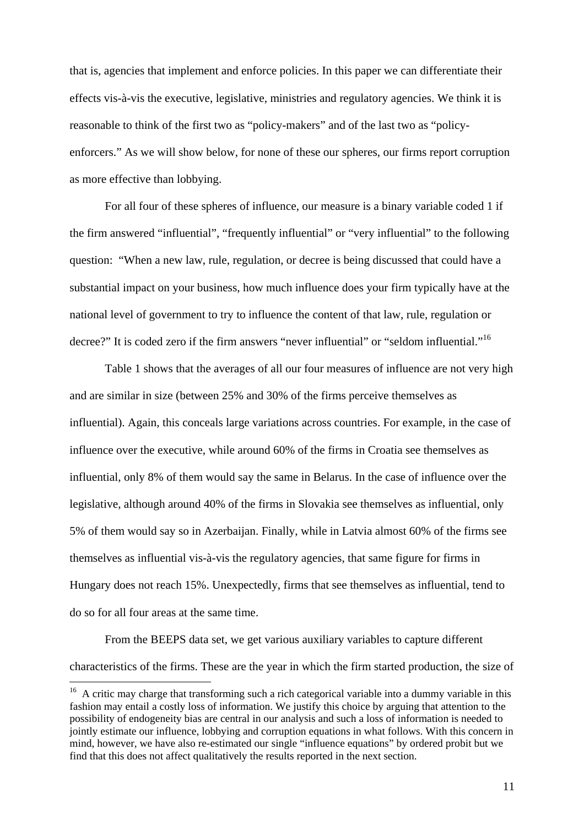that is, agencies that implement and enforce policies. In this paper we can differentiate their effects vis-à-vis the executive, legislative, ministries and regulatory agencies. We think it is reasonable to think of the first two as "policy-makers" and of the last two as "policyenforcers." As we will show below, for none of these our spheres, our firms report corruption as more effective than lobbying.

For all four of these spheres of influence, our measure is a binary variable coded 1 if the firm answered "influential", "frequently influential" or "very influential" to the following question: "When a new law, rule, regulation, or decree is being discussed that could have a substantial impact on your business, how much influence does your firm typically have at the national level of government to try to influence the content of that law, rule, regulation or decree?" It is coded zero if the firm answers "never influential" or "seldom influential."<sup>16</sup>

Table 1 shows that the averages of all our four measures of influence are not very high and are similar in size (between 25% and 30% of the firms perceive themselves as influential). Again, this conceals large variations across countries. For example, in the case of influence over the executive, while around 60% of the firms in Croatia see themselves as influential, only 8% of them would say the same in Belarus. In the case of influence over the legislative, although around 40% of the firms in Slovakia see themselves as influential, only 5% of them would say so in Azerbaijan. Finally, while in Latvia almost 60% of the firms see themselves as influential vis-à-vis the regulatory agencies, that same figure for firms in Hungary does not reach 15%. Unexpectedly, firms that see themselves as influential, tend to do so for all four areas at the same time.

From the BEEPS data set, we get various auxiliary variables to capture different characteristics of the firms. These are the year in which the firm started production, the size of

<span id="page-13-0"></span><sup>&</sup>lt;sup>16</sup> A critic may charge that transforming such a rich categorical variable into a dummy variable in this fashion may entail a costly loss of information. We justify this choice by arguing that attention to the possibility of endogeneity bias are central in our analysis and such a loss of information is needed to jointly estimate our influence, lobbying and corruption equations in what follows. With this concern in mind, however, we have also re-estimated our single "influence equations" by ordered probit but we find that this does not affect qualitatively the results reported in the next section.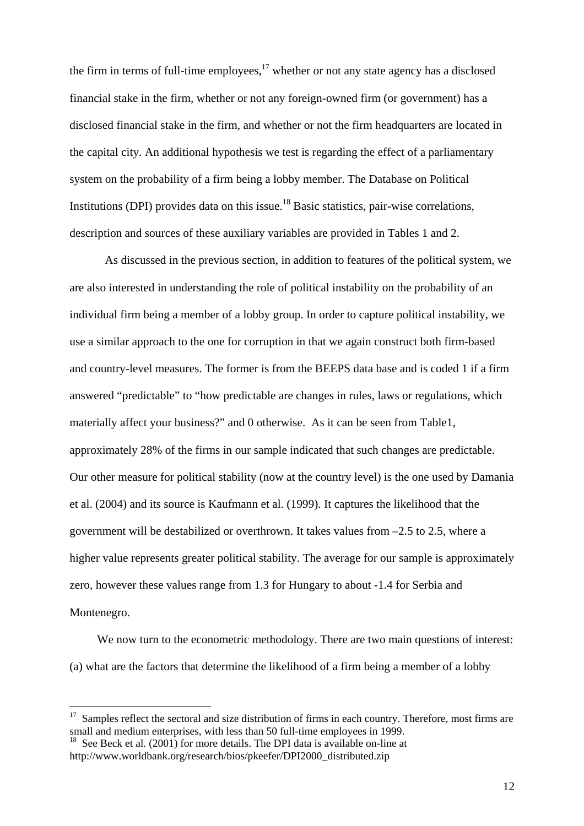the firm in terms of full-time employees, $^{17}$  whether or not any state agency has a disclosed financial stake in the firm, whether or not any foreign-owned firm (or government) has a disclosed financial stake in the firm, and whether or not the firm headquarters are located in the capital city. An additional hypothesis we test is regarding the effect of a parliamentary system on the probability of a firm being a lobby member. The Database on Political Institutions (DPI) provides data on this issue.<sup>18</sup> Basic statistics, pair-wise correlations, description and sources of these auxiliary variables are provided in Tables 1 and 2.

As discussed in the previous section, in addition to features of the political system, we are also interested in understanding the role of political instability on the probability of an individual firm being a member of a lobby group. In order to capture political instability, we use a similar approach to the one for corruption in that we again construct both firm-based and country-level measures. The former is from the BEEPS data base and is coded 1 if a firm answered "predictable" to "how predictable are changes in rules, laws or regulations, which materially affect your business?" and 0 otherwise. As it can be seen from Table1, approximately 28% of the firms in our sample indicated that such changes are predictable. Our other measure for political stability (now at the country level) is the one used by Damania et al. (2004) and its source is Kaufmann et al. (1999). It captures the likelihood that the government will be destabilized or overthrown. It takes values from –2.5 to 2.5, where a higher value represents greater political stability. The average for our sample is approximately zero, however these values range from 1.3 for Hungary to about -1.4 for Serbia and Montenegro.

We now turn to the econometric methodology. There are two main questions of interest: (a) what are the factors that determine the likelihood of a firm being a member of a lobby

<span id="page-14-0"></span><sup>&</sup>lt;sup>17</sup> Samples reflect the sectoral and size distribution of firms in each country. Therefore, most firms are small and medium enterprises, with less than 50 full-time employees in 1999.

<span id="page-14-1"></span><sup>&</sup>lt;sup>18</sup> See Beck et al.  $(2001)$  for more details. The DPI data is available on-line at http://www.worldbank.org/research/bios/pkeefer/DPI2000\_distributed.zip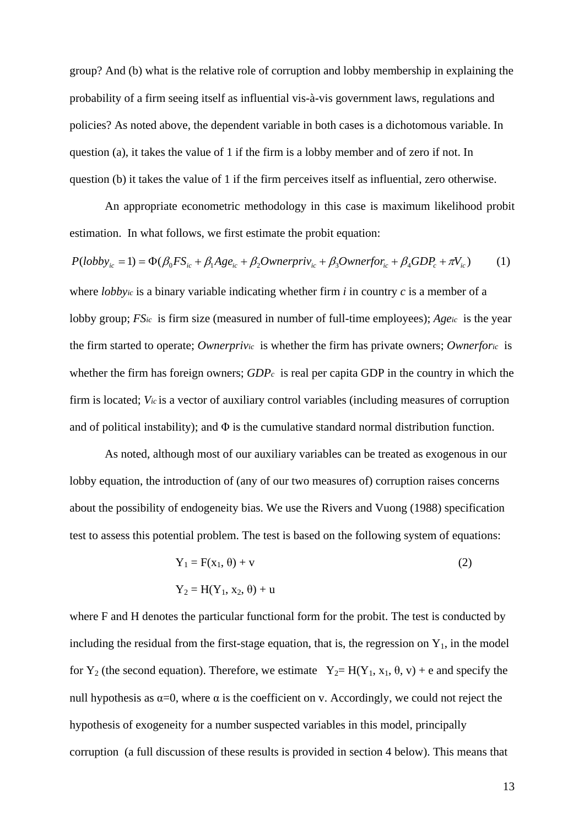group? And (b) what is the relative role of corruption and lobby membership in explaining the probability of a firm seeing itself as influential vis-à-vis government laws, regulations and policies? As noted above, the dependent variable in both cases is a dichotomous variable. In question (a), it takes the value of 1 if the firm is a lobby member and of zero if not. In question (b) it takes the value of 1 if the firm perceives itself as influential, zero otherwise.

An appropriate econometric methodology in this case is maximum likelihood probit estimation. In what follows, we first estimate the probit equation:

$$
P(lobby_{ic}=1) = \Phi(\beta_0 FS_{ic} + \beta_1 Age_{ic} + \beta_2Ownerpriv_{ic} + \beta_3Ownerfor_{ic} + \beta_4 GDP_c + \pi V_{ic})
$$
 (1)

where *lobbyic* is a binary variable indicating whether firm *i* in country *c* is a member of a lobby group; *FSic* is firm size (measured in number of full-time employees); *Ageic* is the year the firm started to operate; *Ownerprivic* is whether the firm has private owners; *Ownerforic* is whether the firm has foreign owners;  $GDP<sub>c</sub>$  is real per capita GDP in the country in which the firm is located; *Vic* is a vector of auxiliary control variables (including measures of corruption and of political instability); and  $\Phi$  is the cumulative standard normal distribution function.

As noted, although most of our auxiliary variables can be treated as exogenous in our lobby equation, the introduction of (any of our two measures of) corruption raises concerns about the possibility of endogeneity bias. We use the Rivers and Vuong (1988) specification test to assess this potential problem. The test is based on the following system of equations:

$$
Y_1 = F(x_1, \theta) + v
$$
  
\n
$$
Y_2 = H(Y_1, x_2, \theta) + u
$$
\n(2)

where F and H denotes the particular functional form for the probit. The test is conducted by including the residual from the first-stage equation, that is, the regression on  $Y_1$ , in the model for Y<sub>2</sub> (the second equation). Therefore, we estimate Y<sub>2</sub>= H(Y<sub>1</sub>, x<sub>1</sub>,  $\theta$ , v) + e and specify the null hypothesis as  $\alpha=0$ , where  $\alpha$  is the coefficient on v. Accordingly, we could not reject the hypothesis of exogeneity for a number suspected variables in this model, principally corruption (a full discussion of these results is provided in section 4 below). This means that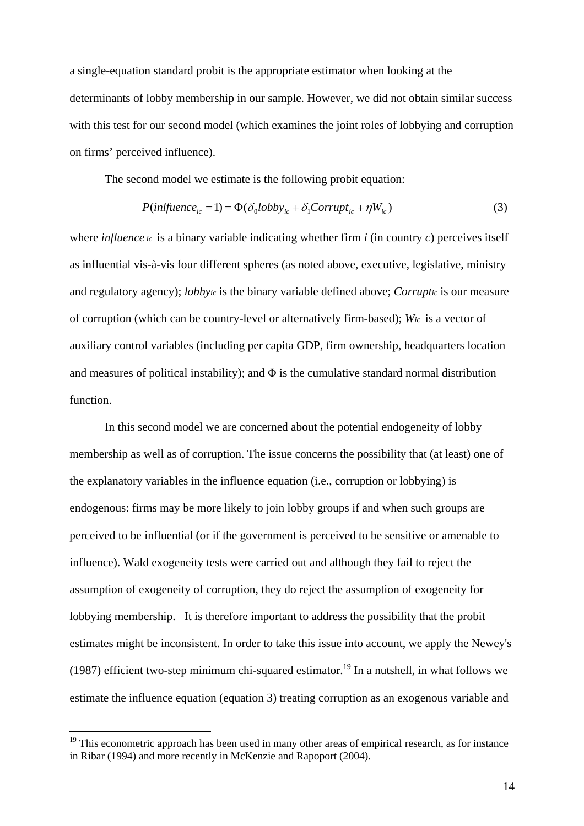a single-equation standard probit is the appropriate estimator when looking at the determinants of lobby membership in our sample. However, we did not obtain similar success with this test for our second model (which examines the joint roles of lobbying and corruption on firms' perceived influence).

The second model we estimate is the following probit equation:

$$
P(inlfluence_{ic} = 1) = \Phi(\delta_0 lobb_{y_{ic}} + \delta_1 Corrupt_{ic} + \eta W_{ic})
$$
\n(3)

where *influence ic* is a binary variable indicating whether firm *i* (in country *c*) perceives itself as influential vis-à-vis four different spheres (as noted above, executive, legislative, ministry and regulatory agency); *lobbyic* is the binary variable defined above; *Corruptic* is our measure of corruption (which can be country-level or alternatively firm-based); *Wic* is a vector of auxiliary control variables (including per capita GDP, firm ownership, headquarters location and measures of political instability); and  $\Phi$  is the cumulative standard normal distribution function.

In this second model we are concerned about the potential endogeneity of lobby membership as well as of corruption. The issue concerns the possibility that (at least) one of the explanatory variables in the influence equation (i.e., corruption or lobbying) is endogenous: firms may be more likely to join lobby groups if and when such groups are perceived to be influential (or if the government is perceived to be sensitive or amenable to influence). Wald exogeneity tests were carried out and although they fail to reject the assumption of exogeneity of corruption, they do reject the assumption of exogeneity for lobbying membership. It is therefore important to address the possibility that the probit estimates might be inconsistent. In order to take this issue into account, we apply the Newey's (1987) efficient two-step minimum chi-squared estimator.<sup>19</sup> In a nutshell, in what follows we estimate the influence equation (equation 3) treating corruption as an exogenous variable and

<span id="page-16-0"></span> $19$  This econometric approach has been used in many other areas of empirical research, as for instance in Ribar (1994) and more recently in McKenzie and Rapoport (2004).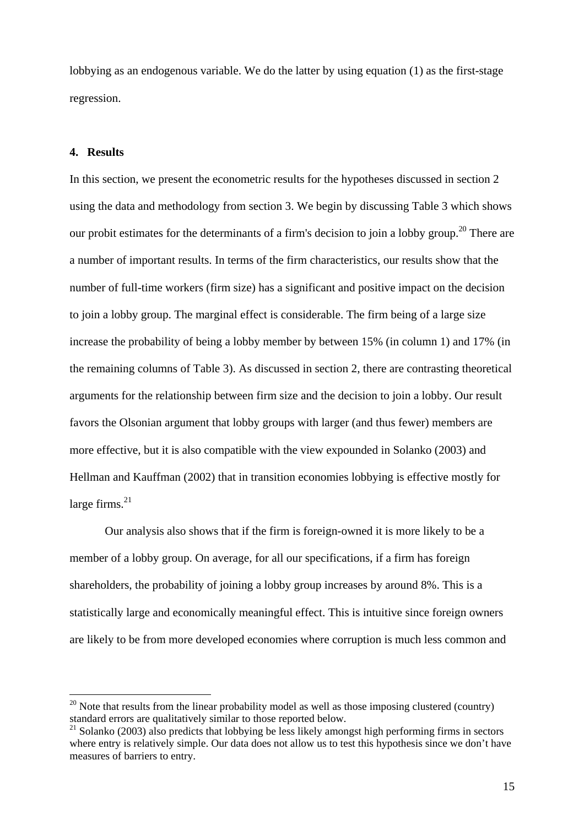lobbying as an endogenous variable. We do the latter by using equation (1) as the first-stage regression.

#### **4. Results**

In this section, we present the econometric results for the hypotheses discussed in section 2 using the data and methodology from section 3. We begin by discussing Table 3 which shows our probit estimates for the determinants of a firm's decision to join a lobby group.<sup>20</sup> There are a number of important results. In terms of the firm characteristics, our results show that the number of full-time workers (firm size) has a significant and positive impact on the decision to join a lobby group. The marginal effect is considerable. The firm being of a large size increase the probability of being a lobby member by between 15% (in column 1) and 17% (in the remaining columns of Table 3). As discussed in section 2, there are contrasting theoretical arguments for the relationship between firm size and the decision to join a lobby. Our result favors the Olsonian argument that lobby groups with larger (and thus fewer) members are more effective, but it is also compatible with the view expounded in Solanko (2003) and Hellman and Kauffman (2002) that in transition economies lobbying is effective mostly for large firms. [21](#page-17-1) 

Our analysis also shows that if the firm is foreign-owned it is more likely to be a member of a lobby group. On average, for all our specifications, if a firm has foreign shareholders, the probability of joining a lobby group increases by around 8%. This is a statistically large and economically meaningful effect. This is intuitive since foreign owners are likely to be from more developed economies where corruption is much less common and

<span id="page-17-0"></span> $20$  Note that results from the linear probability model as well as those imposing clustered (country) standard errors are qualitatively similar to those reported below.

<span id="page-17-1"></span><sup>&</sup>lt;sup>21</sup> Solanko (2003) also predicts that lobbying be less likely amongst high performing firms in sectors where entry is relatively simple. Our data does not allow us to test this hypothesis since we don't have measures of barriers to entry.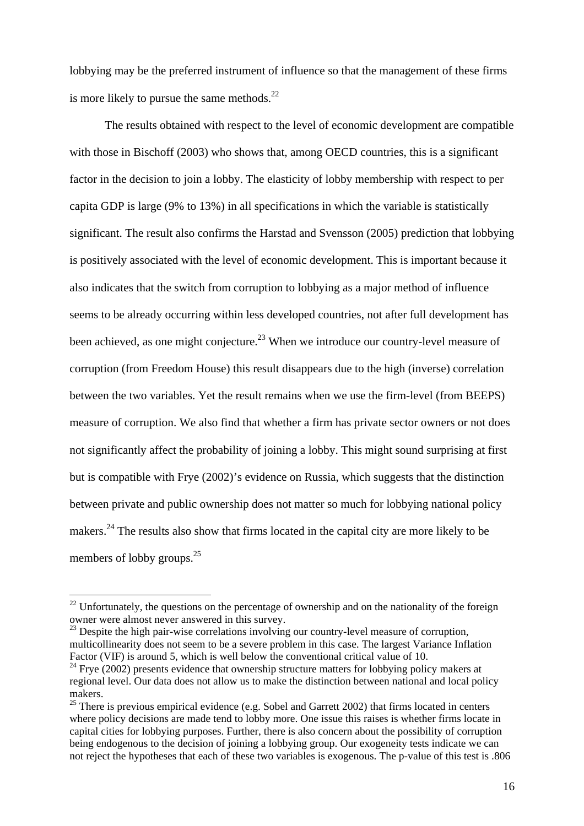lobbying may be the preferred instrument of influence so that the management of these firms is more likely to pursue the same methods. $^{22}$ 

The results obtained with respect to the level of economic development are compatible with those in Bischoff (2003) who shows that, among OECD countries, this is a significant factor in the decision to join a lobby. The elasticity of lobby membership with respect to per capita GDP is large (9% to 13%) in all specifications in which the variable is statistically significant. The result also confirms the Harstad and Svensson (2005) prediction that lobbying is positively associated with the level of economic development. This is important because it also indicates that the switch from corruption to lobbying as a major method of influence seems to be already occurring within less developed countries, not after full development has been achieved, as one might conjecture.<sup>23</sup> When we introduce our country-level measure of corruption (from Freedom House) this result disappears due to the high (inverse) correlation between the two variables. Yet the result remains when we use the firm-level (from BEEPS) measure of corruption. We also find that whether a firm has private sector owners or not does not significantly affect the probability of joining a lobby. This might sound surprising at first but is compatible with Frye (2002)'s evidence on Russia, which suggests that the distinction between private and public ownership does not matter so much for lobbying national policy makers.<sup>24</sup> The results also show that firms located in the capital city are more likely to be members of lobby groups.<sup>[25](#page-18-3)</sup>

<span id="page-18-0"></span> $22$  Unfortunately, the questions on the percentage of ownership and on the nationality of the foreign owner were almost never answered in this survey.<br><sup>23</sup> Despite the high pair-wise correlations involving our country-level measure of corruption,

<span id="page-18-1"></span>multicollinearity does not seem to be a severe problem in this case. The largest Variance Inflation Factor (VIF) is around 5, which is well below the conventional critical value of 10.

<span id="page-18-2"></span> $^{24}$  Frye (2002) presents evidence that ownership structure matters for lobbying policy makers at regional level. Our data does not allow us to make the distinction between national and local policy makers.

<span id="page-18-3"></span> $^{25}$  There is previous empirical evidence (e.g. Sobel and Garrett 2002) that firms located in centers where policy decisions are made tend to lobby more. One issue this raises is whether firms locate in capital cities for lobbying purposes. Further, there is also concern about the possibility of corruption being endogenous to the decision of joining a lobbying group. Our exogeneity tests indicate we can not reject the hypotheses that each of these two variables is exogenous. The p-value of this test is .806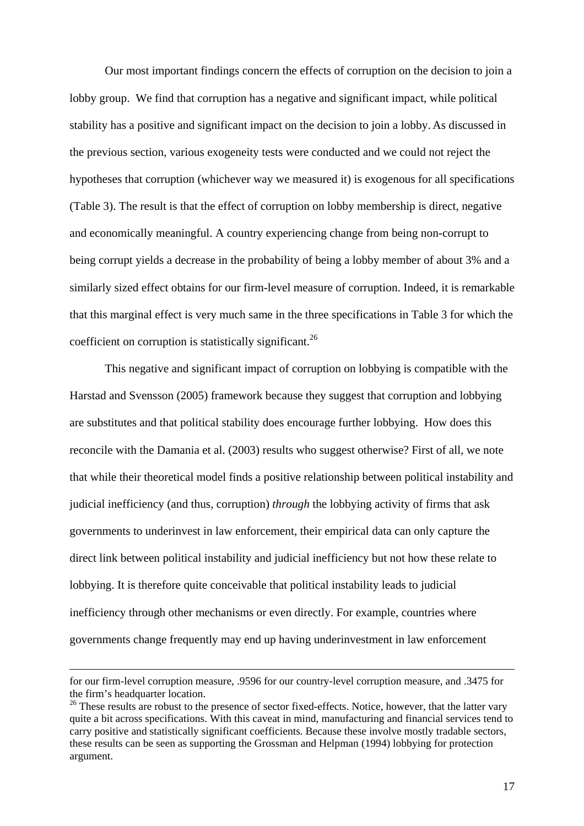Our most important findings concern the effects of corruption on the decision to join a lobby group. We find that corruption has a negative and significant impact, while political stability has a positive and significant impact on the decision to join a lobby. As discussed in the previous section, various exogeneity tests were conducted and we could not reject the hypotheses that corruption (whichever way we measured it) is exogenous for all specifications (Table 3). The result is that the effect of corruption on lobby membership is direct, negative and economically meaningful. A country experiencing change from being non-corrupt to being corrupt yields a decrease in the probability of being a lobby member of about 3% and a similarly sized effect obtains for our firm-level measure of corruption. Indeed, it is remarkable that this marginal effect is very much same in the three specifications in Table 3 for which the coefficient on corruption is statistically significant[.26](#page-19-0)

This negative and significant impact of corruption on lobbying is compatible with the Harstad and Svensson (2005) framework because they suggest that corruption and lobbying are substitutes and that political stability does encourage further lobbying. How does this reconcile with the Damania et al. (2003) results who suggest otherwise? First of all, we note that while their theoretical model finds a positive relationship between political instability and judicial inefficiency (and thus, corruption) *through* the lobbying activity of firms that ask governments to underinvest in law enforcement, their empirical data can only capture the direct link between political instability and judicial inefficiency but not how these relate to lobbying. It is therefore quite conceivable that political instability leads to judicial inefficiency through other mechanisms or even directly. For example, countries where governments change frequently may end up having underinvestment in law enforcement

for our firm-level corruption measure, .9596 for our country-level corruption measure, and .3475 for the firm's headquarter location.

<span id="page-19-0"></span><sup>&</sup>lt;sup>26</sup> These results are robust to the presence of sector fixed-effects. Notice, however, that the latter vary quite a bit across specifications. With this caveat in mind, manufacturing and financial services tend to carry positive and statistically significant coefficients. Because these involve mostly tradable sectors, these results can be seen as supporting the Grossman and Helpman (1994) lobbying for protection argument.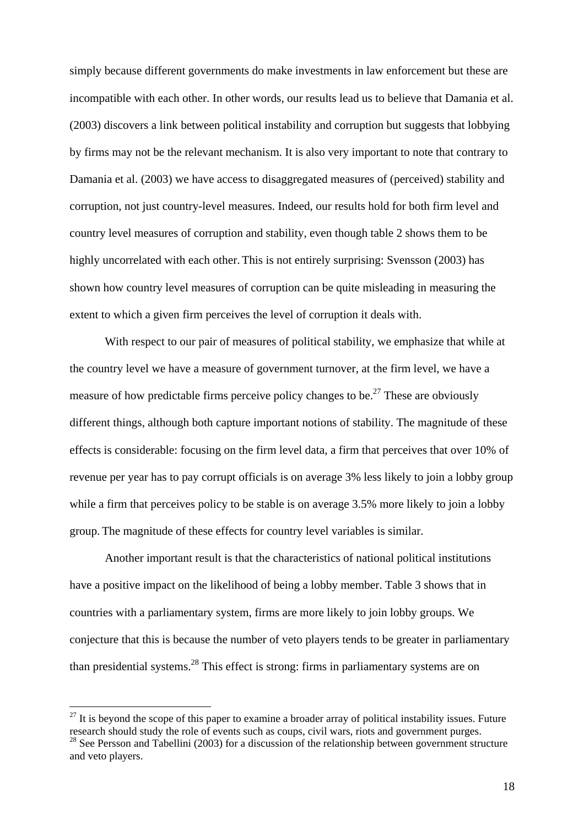simply because different governments do make investments in law enforcement but these are incompatible with each other. In other words, our results lead us to believe that Damania et al. (2003) discovers a link between political instability and corruption but suggests that lobbying by firms may not be the relevant mechanism. It is also very important to note that contrary to Damania et al. (2003) we have access to disaggregated measures of (perceived) stability and corruption, not just country-level measures. Indeed, our results hold for both firm level and country level measures of corruption and stability, even though table 2 shows them to be highly uncorrelated with each other. This is not entirely surprising: Svensson (2003) has shown how country level measures of corruption can be quite misleading in measuring the extent to which a given firm perceives the level of corruption it deals with.

With respect to our pair of measures of political stability, we emphasize that while at the country level we have a measure of government turnover, at the firm level, we have a measure of how predictable firms perceive policy changes to be.<sup>27</sup> These are obviously different things, although both capture important notions of stability. The magnitude of these effects is considerable: focusing on the firm level data, a firm that perceives that over 10% of revenue per year has to pay corrupt officials is on average 3% less likely to join a lobby group while a firm that perceives policy to be stable is on average 3.5% more likely to join a lobby group. The magnitude of these effects for country level variables is similar.

Another important result is that the characteristics of national political institutions have a positive impact on the likelihood of being a lobby member. Table 3 shows that in countries with a parliamentary system, firms are more likely to join lobby groups. We conjecture that this is because the number of veto players tends to be greater in parliamentary than presidential systems[.28](#page-20-1) This effect is strong: firms in parliamentary systems are on

<span id="page-20-0"></span> $27$  It is beyond the scope of this paper to examine a broader array of political instability issues. Future research should study the role of events such as coups, civil wars, riots and government purges.

<span id="page-20-1"></span><sup>&</sup>lt;sup>28</sup> See Persson and Tabellini (2003) for a discussion of the relationship between government structure and veto players.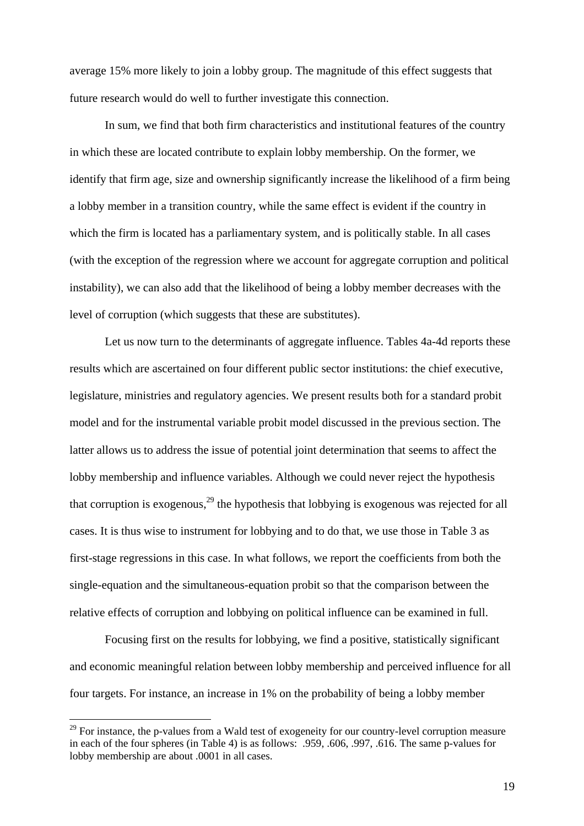average 15% more likely to join a lobby group. The magnitude of this effect suggests that future research would do well to further investigate this connection.

In sum, we find that both firm characteristics and institutional features of the country in which these are located contribute to explain lobby membership. On the former, we identify that firm age, size and ownership significantly increase the likelihood of a firm being a lobby member in a transition country, while the same effect is evident if the country in which the firm is located has a parliamentary system, and is politically stable. In all cases (with the exception of the regression where we account for aggregate corruption and political instability), we can also add that the likelihood of being a lobby member decreases with the level of corruption (which suggests that these are substitutes).

Let us now turn to the determinants of aggregate influence. Tables 4a-4d reports these results which are ascertained on four different public sector institutions: the chief executive, legislature, ministries and regulatory agencies. We present results both for a standard probit model and for the instrumental variable probit model discussed in the previous section. The latter allows us to address the issue of potential joint determination that seems to affect the lobby membership and influence variables. Although we could never reject the hypothesis that corruption is exogenous, $^{29}$  the hypothesis that lobbying is exogenous was rejected for all cases. It is thus wise to instrument for lobbying and to do that, we use those in Table 3 as first-stage regressions in this case. In what follows, we report the coefficients from both the single-equation and the simultaneous-equation probit so that the comparison between the relative effects of corruption and lobbying on political influence can be examined in full.

Focusing first on the results for lobbying, we find a positive, statistically significant and economic meaningful relation between lobby membership and perceived influence for all four targets. For instance, an increase in 1% on the probability of being a lobby member

<span id="page-21-0"></span> $29$  For instance, the p-values from a Wald test of exogeneity for our country-level corruption measure in each of the four spheres (in Table 4) is as follows: .959, .606, .997, .616. The same p-values for lobby membership are about .0001 in all cases.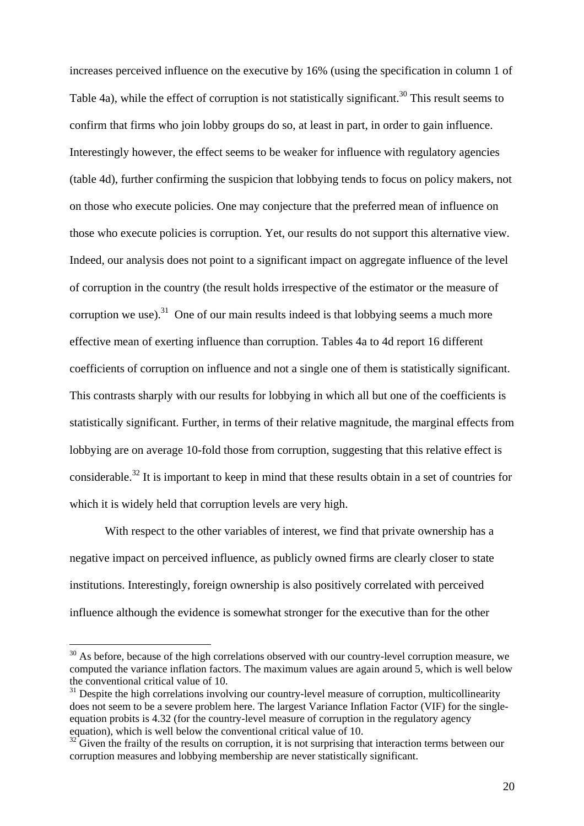increases perceived influence on the executive by 16% (using the specification in column 1 of Table 4a), while the effect of corruption is not statistically significant.<sup>30</sup> This result seems to confirm that firms who join lobby groups do so, at least in part, in order to gain influence. Interestingly however, the effect seems to be weaker for influence with regulatory agencies (table 4d), further confirming the suspicion that lobbying tends to focus on policy makers, not on those who execute policies. One may conjecture that the preferred mean of influence on those who execute policies is corruption. Yet, our results do not support this alternative view. Indeed, our analysis does not point to a significant impact on aggregate influence of the level of corruption in the country (the result holds irrespective of the estimator or the measure of corruption we use).<sup>31</sup> One of our main results indeed is that lobbying seems a much more effective mean of exerting influence than corruption. Tables 4a to 4d report 16 different coefficients of corruption on influence and not a single one of them is statistically significant. This contrasts sharply with our results for lobbying in which all but one of the coefficients is statistically significant. Further, in terms of their relative magnitude, the marginal effects from lobbying are on average 10-fold those from corruption, suggesting that this relative effect is considerable[.32](#page-22-2) It is important to keep in mind that these results obtain in a set of countries for which it is widely held that corruption levels are very high.

With respect to the other variables of interest, we find that private ownership has a negative impact on perceived influence, as publicly owned firms are clearly closer to state institutions. Interestingly, foreign ownership is also positively correlated with perceived influence although the evidence is somewhat stronger for the executive than for the other

<span id="page-22-0"></span><sup>&</sup>lt;sup>30</sup> As before, because of the high correlations observed with our country-level corruption measure, we computed the variance inflation factors. The maximum values are again around 5, which is well below the conventional critical value of 10.

<span id="page-22-1"></span> $31$  Despite the high correlations involving our country-level measure of corruption, multicollinearity does not seem to be a severe problem here. The largest Variance Inflation Factor (VIF) for the singleequation probits is 4.32 (for the country-level measure of corruption in the regulatory agency equation), which is well below the conventional critical value of 10.

<span id="page-22-2"></span> $32$ <sup>2</sup> Given the frailty of the results on corruption, it is not surprising that interaction terms between our corruption measures and lobbying membership are never statistically significant.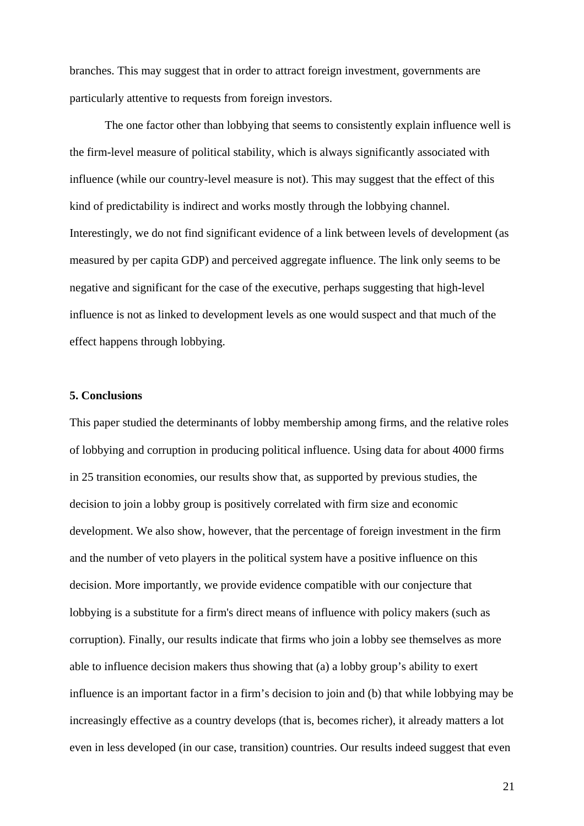branches. This may suggest that in order to attract foreign investment, governments are particularly attentive to requests from foreign investors.

The one factor other than lobbying that seems to consistently explain influence well is the firm-level measure of political stability, which is always significantly associated with influence (while our country-level measure is not). This may suggest that the effect of this kind of predictability is indirect and works mostly through the lobbying channel. Interestingly, we do not find significant evidence of a link between levels of development (as measured by per capita GDP) and perceived aggregate influence. The link only seems to be negative and significant for the case of the executive, perhaps suggesting that high-level influence is not as linked to development levels as one would suspect and that much of the effect happens through lobbying.

#### **5. Conclusions**

This paper studied the determinants of lobby membership among firms, and the relative roles of lobbying and corruption in producing political influence. Using data for about 4000 firms in 25 transition economies, our results show that, as supported by previous studies, the decision to join a lobby group is positively correlated with firm size and economic development. We also show, however, that the percentage of foreign investment in the firm and the number of veto players in the political system have a positive influence on this decision. More importantly, we provide evidence compatible with our conjecture that lobbying is a substitute for a firm's direct means of influence with policy makers (such as corruption). Finally, our results indicate that firms who join a lobby see themselves as more able to influence decision makers thus showing that (a) a lobby group's ability to exert influence is an important factor in a firm's decision to join and (b) that while lobbying may be increasingly effective as a country develops (that is, becomes richer), it already matters a lot even in less developed (in our case, transition) countries. Our results indeed suggest that even

21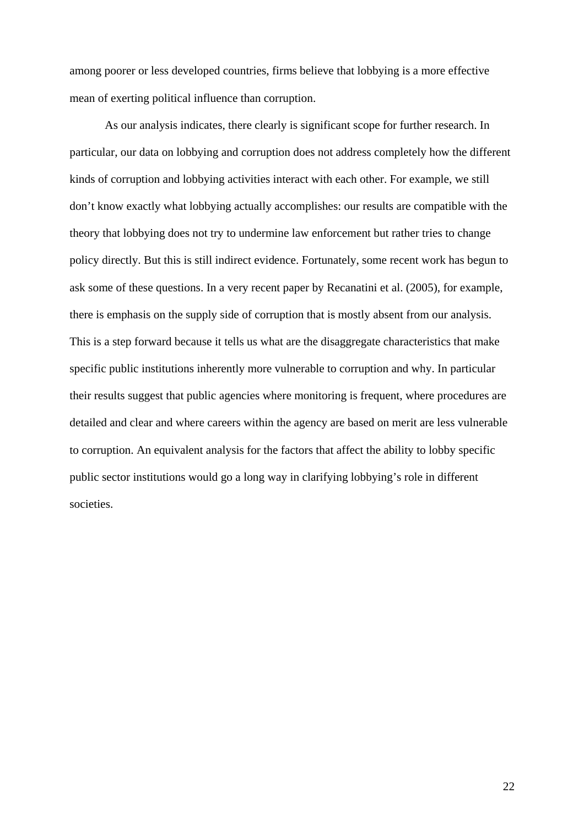among poorer or less developed countries, firms believe that lobbying is a more effective mean of exerting political influence than corruption.

As our analysis indicates, there clearly is significant scope for further research. In particular, our data on lobbying and corruption does not address completely how the different kinds of corruption and lobbying activities interact with each other. For example, we still don't know exactly what lobbying actually accomplishes: our results are compatible with the theory that lobbying does not try to undermine law enforcement but rather tries to change policy directly. But this is still indirect evidence. Fortunately, some recent work has begun to ask some of these questions. In a very recent paper by Recanatini et al. (2005), for example, there is emphasis on the supply side of corruption that is mostly absent from our analysis. This is a step forward because it tells us what are the disaggregate characteristics that make specific public institutions inherently more vulnerable to corruption and why. In particular their results suggest that public agencies where monitoring is frequent, where procedures are detailed and clear and where careers within the agency are based on merit are less vulnerable to corruption. An equivalent analysis for the factors that affect the ability to lobby specific public sector institutions would go a long way in clarifying lobbying's role in different societies.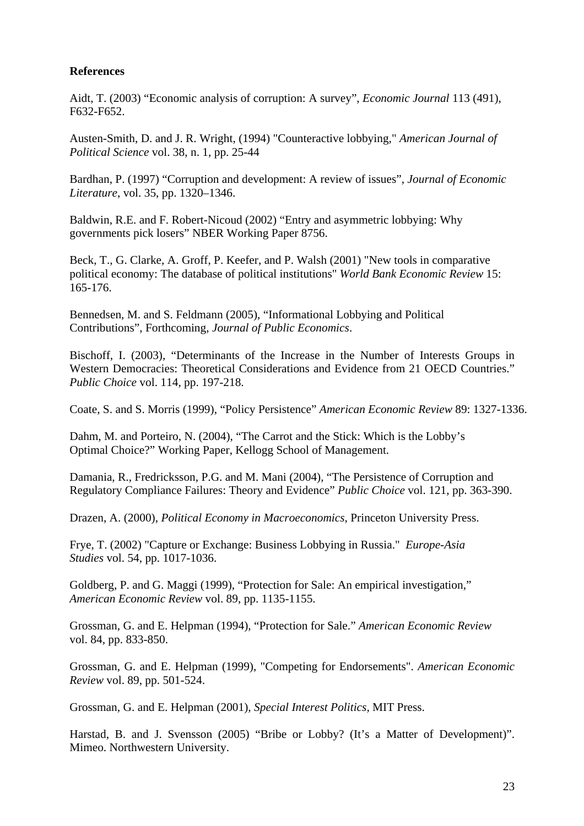#### **References**

Aidt, T. (2003) "Economic analysis of corruption: A survey", *Economic Journal* 113 (491), F632-F652.

Austen-Smith, D. and J. R. Wright, (1994) "Counteractive lobbying," *American Journal of Political Science* vol. 38, n. 1, pp. 25-44

Bardhan, P. (1997) "Corruption and development: A review of issues", *Journal of Economic Literature*, vol. 35, pp. 1320–1346.

Baldwin, R.E. and F. Robert-Nicoud (2002) "Entry and asymmetric lobbying: Why governments pick losers" NBER Working Paper 8756.

Beck, T., G. Clarke, A. Groff, P. Keefer, and P. Walsh (2001) "New tools in comparative political economy: The database of political institutions" *World Bank Economic Review* 15: 165-176.

Bennedsen, M. and S. Feldmann (2005), "Informational Lobbying and Political Contributions", Forthcoming, *Journal of Public Economics*.

Bischoff, I. (2003), "Determinants of the Increase in the Number of Interests Groups in Western Democracies: Theoretical Considerations and Evidence from 21 OECD Countries." *Public Choice* vol. 114, pp. 197-218.

Coate, S. and S. Morris (1999), "Policy Persistence" *American Economic Review* 89: 1327-1336.

Dahm, M. and Porteiro, N. (2004), "The Carrot and the Stick: Which is the Lobby's Optimal Choice?" Working Paper, Kellogg School of Management.

Damania, R., Fredricksson, P.G. and M. Mani (2004), "The Persistence of Corruption and Regulatory Compliance Failures: Theory and Evidence" *Public Choice* vol. 121, pp. 363-390.

Drazen, A. (2000), *Political Economy in Macroeconomics*, Princeton University Press.

Frye, T. (2002) "Capture or Exchange: Business Lobbying in Russia." *Europe-Asia Studies* vol. 54, pp. 1017-1036.

Goldberg, P. and G. Maggi (1999), "Protection for Sale: An empirical investigation," *American Economic Review* vol. 89, pp. 1135-1155.

Grossman, G. and E. Helpman (1994), "Protection for Sale." *American Economic Review* vol. 84, pp. 833-850.

Grossman, G. and E. Helpman (1999), "Competing for Endorsements". *American Economic Review* vol. 89, pp. 501-524.

Grossman, G. and E. Helpman (2001), *Special Interest Politics,* MIT Press.

Harstad, B. and J. Svensson (2005) "Bribe or Lobby? (It's a Matter of Development)". Mimeo. Northwestern University.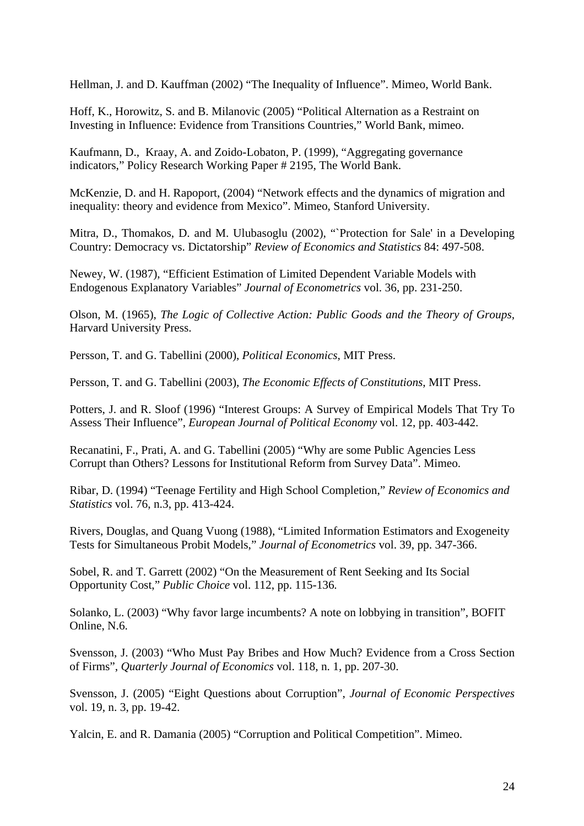Hellman, J. and D. Kauffman (2002) "The Inequality of Influence". Mimeo, World Bank.

Hoff, K., Horowitz, S. and B. Milanovic (2005) "Political Alternation as a Restraint on Investing in Influence: Evidence from Transitions Countries," World Bank, mimeo.

Kaufmann, D., Kraay, A. and Zoido-Lobaton, P. (1999), "Aggregating governance indicators," Policy Research Working Paper # 2195, The World Bank.

McKenzie, D. and H. Rapoport, (2004) "Network effects and the dynamics of migration and inequality: theory and evidence from Mexico". Mimeo, Stanford University.

Mitra, D., Thomakos, D. and M. Ulubasoglu (2002), "`Protection for Sale' in a Developing Country: Democracy vs. Dictatorship" *Review of Economics and Statistics* 84: 497-508.

Newey, W. (1987), "Efficient Estimation of Limited Dependent Variable Models with Endogenous Explanatory Variables" *Journal of Econometrics* vol. 36, pp. 231-250.

Olson, M. (1965), *The Logic of Collective Action: Public Goods and the Theory of Groups,*  Harvard University Press.

Persson, T. and G. Tabellini (2000), *Political Economics*, MIT Press.

Persson, T. and G. Tabellini (2003), *The Economic Effects of Constitutions*, MIT Press.

Potters, J. and R. Sloof (1996) "Interest Groups: A Survey of Empirical Models That Try To Assess Their Influence", *European Journal of Political Economy* vol. 12, pp. 403-442.

Recanatini, F., Prati, A. and G. Tabellini (2005) "Why are some Public Agencies Less Corrupt than Others? Lessons for Institutional Reform from Survey Data". Mimeo.

Ribar, D. (1994) "Teenage Fertility and High School Completion," *Review of Economics and Statistics* vol. 76, n.3, pp. 413-424.

Rivers, Douglas, and Quang Vuong (1988), "Limited Information Estimators and Exogeneity Tests for Simultaneous Probit Models," *Journal of Econometrics* vol. 39, pp. 347-366.

Sobel, R. and T. Garrett (2002) "On the Measurement of Rent Seeking and Its Social Opportunity Cost," *Public Choice* vol. 112, pp. 115-136*.* 

Solanko, L. (2003) "Why favor large incumbents? A note on lobbying in transition", BOFIT Online, N.6.

Svensson, J. (2003) "Who Must Pay Bribes and How Much? Evidence from a Cross Section of Firms", *Quarterly Journal of Economics* vol. 118, n. 1, pp. 207-30.

Svensson, J. (2005) "Eight Questions about Corruption", *Journal of Economic Perspectives*  vol. 19, n. 3, pp. 19-42.

Yalcin, E. and R. Damania (2005) "Corruption and Political Competition". Mimeo.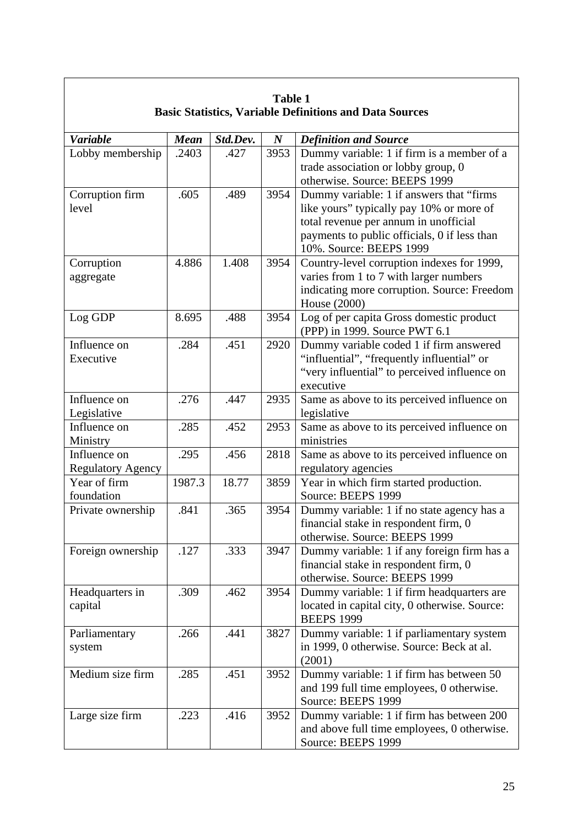| <b>Table 1</b><br><b>Basic Statistics, Variable Definitions and Data Sources</b> |             |          |                  |                                               |  |
|----------------------------------------------------------------------------------|-------------|----------|------------------|-----------------------------------------------|--|
| <b>Variable</b>                                                                  | <b>Mean</b> | Std.Dev. | $\boldsymbol{N}$ | <b>Definition and Source</b>                  |  |
| Lobby membership                                                                 | .2403       | .427     | 3953             | Dummy variable: 1 if firm is a member of a    |  |
|                                                                                  |             |          |                  | trade association or lobby group, 0           |  |
|                                                                                  |             |          |                  | otherwise. Source: BEEPS 1999                 |  |
| Corruption firm                                                                  | .605        | .489     | 3954             | Dummy variable: 1 if answers that "firms      |  |
| level                                                                            |             |          |                  | like yours" typically pay 10% or more of      |  |
|                                                                                  |             |          |                  | total revenue per annum in unofficial         |  |
|                                                                                  |             |          |                  | payments to public officials, 0 if less than  |  |
|                                                                                  |             |          |                  | 10%. Source: BEEPS 1999                       |  |
| Corruption                                                                       | 4.886       | 1.408    | 3954             | Country-level corruption indexes for 1999,    |  |
| aggregate                                                                        |             |          |                  | varies from 1 to 7 with larger numbers        |  |
|                                                                                  |             |          |                  | indicating more corruption. Source: Freedom   |  |
|                                                                                  |             |          |                  | House (2000)                                  |  |
| Log GDP                                                                          | 8.695       | .488     | 3954             | Log of per capita Gross domestic product      |  |
|                                                                                  |             |          |                  | (PPP) in 1999. Source PWT 6.1                 |  |
| Influence on                                                                     | .284        | .451     | 2920             | Dummy variable coded 1 if firm answered       |  |
| Executive                                                                        |             |          |                  | "influential", "frequently influential" or    |  |
|                                                                                  |             |          |                  | "very influential" to perceived influence on  |  |
|                                                                                  |             |          |                  | executive                                     |  |
| Influence on                                                                     | .276        | .447     | 2935             | Same as above to its perceived influence on   |  |
| Legislative                                                                      |             |          |                  | legislative                                   |  |
| Influence on                                                                     | .285        | .452     | 2953             | Same as above to its perceived influence on   |  |
| Ministry                                                                         |             |          |                  | ministries                                    |  |
| Influence on                                                                     | .295        | .456     | 2818             | Same as above to its perceived influence on   |  |
| <b>Regulatory Agency</b>                                                         |             |          |                  | regulatory agencies                           |  |
| Year of firm                                                                     | 1987.3      | 18.77    | 3859             | Year in which firm started production.        |  |
| foundation                                                                       |             |          |                  | Source: BEEPS 1999                            |  |
| Private ownership                                                                | .841        | .365     | 3954             | Dummy variable: 1 if no state agency has a    |  |
|                                                                                  |             |          |                  | financial stake in respondent firm, 0         |  |
|                                                                                  |             |          |                  | otherwise. Source: BEEPS 1999                 |  |
| Foreign ownership                                                                | .127        | .333     | 3947             | Dummy variable: 1 if any foreign firm has a   |  |
|                                                                                  |             |          |                  | financial stake in respondent firm, 0         |  |
|                                                                                  |             |          |                  | otherwise. Source: BEEPS 1999                 |  |
| Headquarters in                                                                  | .309        | .462     | 3954             | Dummy variable: 1 if firm headquarters are    |  |
| capital                                                                          |             |          |                  | located in capital city, 0 otherwise. Source: |  |
|                                                                                  |             |          |                  | <b>BEEPS 1999</b>                             |  |
| Parliamentary                                                                    | .266        | .441     | 3827             | Dummy variable: 1 if parliamentary system     |  |
| system                                                                           |             |          |                  | in 1999, 0 otherwise. Source: Beck at al.     |  |
|                                                                                  |             |          |                  | (2001)                                        |  |
| Medium size firm                                                                 | .285        | .451     | 3952             | Dummy variable: 1 if firm has between 50      |  |
|                                                                                  |             |          |                  | and 199 full time employees, 0 otherwise.     |  |
|                                                                                  |             |          |                  | Source: BEEPS 1999                            |  |
| Large size firm                                                                  | .223        | .416     | 3952             | Dummy variable: 1 if firm has between 200     |  |
|                                                                                  |             |          |                  | and above full time employees, 0 otherwise.   |  |
|                                                                                  |             |          |                  | Source: BEEPS 1999                            |  |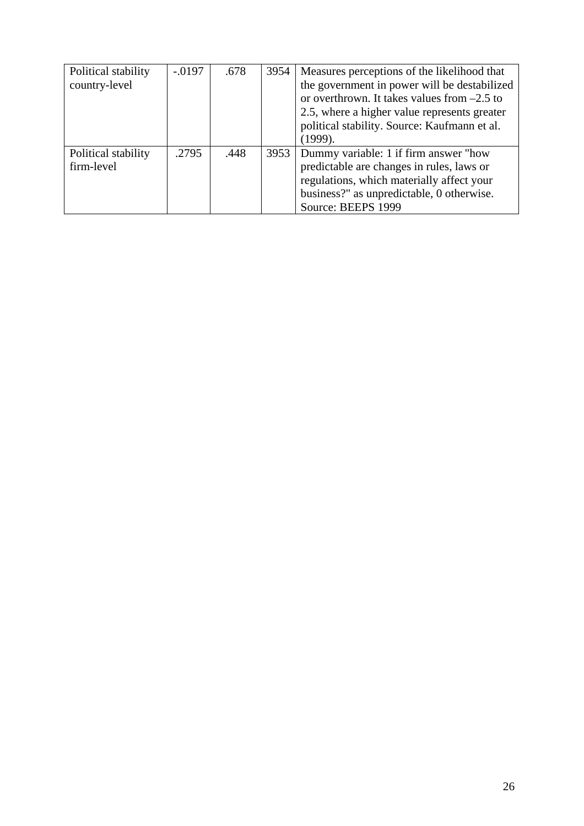| Political stability<br>country-level | $-.0197$ | .678 | 3954 | Measures perceptions of the likelihood that<br>the government in power will be destabilized<br>or overthrown. It takes values from $-2.5$ to<br>2.5, where a higher value represents greater<br>political stability. Source: Kaufmann et al.<br>(1999). |
|--------------------------------------|----------|------|------|---------------------------------------------------------------------------------------------------------------------------------------------------------------------------------------------------------------------------------------------------------|
| Political stability<br>firm-level    | .2795    | .448 | 3953 | Dummy variable: 1 if firm answer "how<br>predictable are changes in rules, laws or<br>regulations, which materially affect your<br>business?" as unpredictable, 0 otherwise.<br>Source: BEEPS 1999                                                      |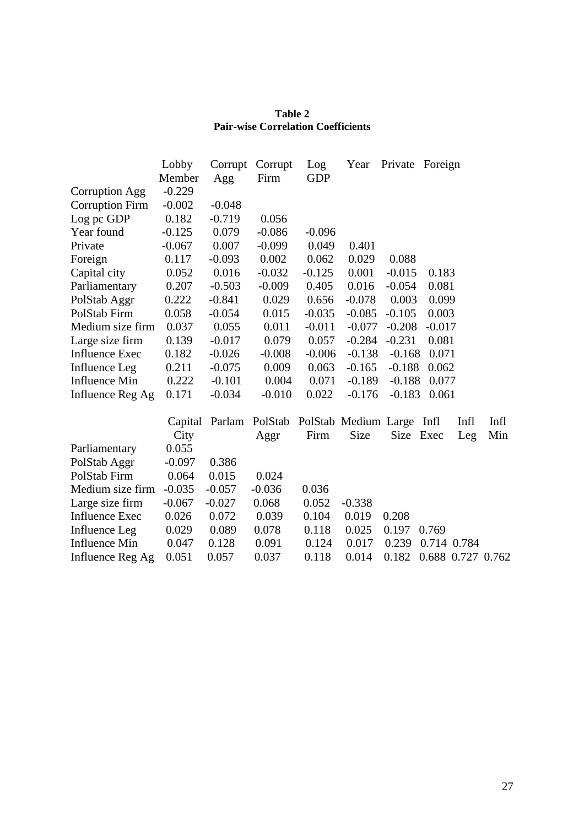|                        | Lobby    | Corrupt  | Corrupt  | Log                       | Year     | Private Foreign |          |                   |      |
|------------------------|----------|----------|----------|---------------------------|----------|-----------------|----------|-------------------|------|
|                        | Member   | Agg      | Firm     | <b>GDP</b>                |          |                 |          |                   |      |
| <b>Corruption Agg</b>  | $-0.229$ |          |          |                           |          |                 |          |                   |      |
| <b>Corruption Firm</b> | $-0.002$ | $-0.048$ |          |                           |          |                 |          |                   |      |
| Log pc GDP             | 0.182    | $-0.719$ | 0.056    |                           |          |                 |          |                   |      |
| Year found             | $-0.125$ | 0.079    | $-0.086$ | $-0.096$                  |          |                 |          |                   |      |
| Private                | $-0.067$ | 0.007    | $-0.099$ | 0.049                     | 0.401    |                 |          |                   |      |
| Foreign                | 0.117    | $-0.093$ | 0.002    | 0.062                     | 0.029    | 0.088           |          |                   |      |
| Capital city           | 0.052    | 0.016    | $-0.032$ | $-0.125$                  | 0.001    | $-0.015$        | 0.183    |                   |      |
| Parliamentary          | 0.207    | $-0.503$ | $-0.009$ | 0.405                     | 0.016    | $-0.054$        | 0.081    |                   |      |
| PolStab Aggr           | 0.222    | $-0.841$ | 0.029    | 0.656                     | $-0.078$ | 0.003           | 0.099    |                   |      |
| PolStab Firm           | 0.058    | $-0.054$ | 0.015    | $-0.035$                  | $-0.085$ | $-0.105$        | 0.003    |                   |      |
| Medium size firm       | 0.037    | 0.055    | 0.011    | $-0.011$                  | $-0.077$ | $-0.208$        | $-0.017$ |                   |      |
| Large size firm        | 0.139    | $-0.017$ | 0.079    | 0.057                     | $-0.284$ | $-0.231$        | 0.081    |                   |      |
| <b>Influence Exec</b>  | 0.182    | $-0.026$ | $-0.008$ | $-0.006$                  | $-0.138$ | $-0.168$        | 0.071    |                   |      |
| Influence Leg          | 0.211    | $-0.075$ | 0.009    | 0.063                     | $-0.165$ | $-0.188$        | 0.062    |                   |      |
| <b>Influence Min</b>   | 0.222    | $-0.101$ | 0.004    | 0.071                     | $-0.189$ | $-0.188$        | 0.077    |                   |      |
| Influence Reg Ag       | 0.171    | $-0.034$ | $-0.010$ | 0.022                     | $-0.176$ | $-0.183$        | 0.061    |                   |      |
|                        | Capital  | Parlam   | PolStab  | PolStab Medium Large Infl |          |                 |          | Infl              | Infl |
|                        | City     |          | Aggr     | Firm                      | Size     | Size Exec       |          | Leg               | Min  |
| Parliamentary          | 0.055    |          |          |                           |          |                 |          |                   |      |
| PolStab Aggr           | $-0.097$ | 0.386    |          |                           |          |                 |          |                   |      |
| PolStab Firm           | 0.064    | 0.015    | 0.024    |                           |          |                 |          |                   |      |
| Medium size firm       | $-0.035$ | $-0.057$ | $-0.036$ | 0.036                     |          |                 |          |                   |      |
| Large size firm        | $-0.067$ | $-0.027$ | 0.068    | 0.052                     | $-0.338$ |                 |          |                   |      |
| <b>Influence Exec</b>  | 0.026    | 0.072    | 0.039    | 0.104                     | 0.019    | 0.208           |          |                   |      |
| Influence Leg          | 0.029    | 0.089    | 0.078    | 0.118                     | 0.025    | 0.197           | 0.769    |                   |      |
| Influence Min          | 0.047    | 0.128    | 0.091    | 0.124                     | 0.017    | 0.239           |          | 0.714 0.784       |      |
| Influence Reg Ag       | 0.051    | 0.057    | 0.037    | 0.118                     | 0.014    | 0.182           |          | 0.688 0.727 0.762 |      |

#### **Table 2 Pair-wise Correlation Coefficients**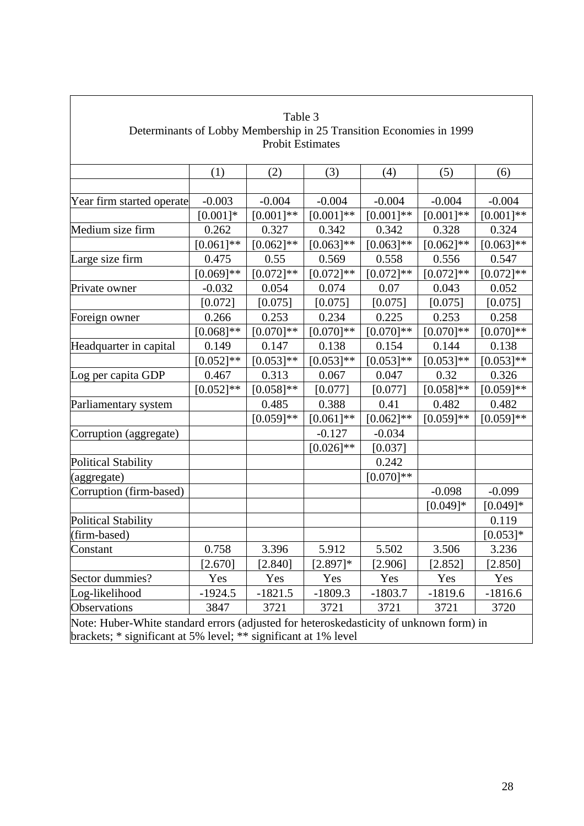| Table 3                                                                                |              |              |              |              |              |              |  |  |
|----------------------------------------------------------------------------------------|--------------|--------------|--------------|--------------|--------------|--------------|--|--|
| Determinants of Lobby Membership in 25 Transition Economies in 1999                    |              |              |              |              |              |              |  |  |
| <b>Probit Estimates</b>                                                                |              |              |              |              |              |              |  |  |
|                                                                                        |              |              |              |              |              |              |  |  |
|                                                                                        | (1)          | (2)          | (3)          | (4)          | (5)          | (6)          |  |  |
|                                                                                        |              |              |              |              |              |              |  |  |
| Year firm started operate                                                              | $-0.003$     | $-0.004$     | $-0.004$     | $-0.004$     | $-0.004$     | $-0.004$     |  |  |
|                                                                                        | $[0.001]*$   | $[0.001]**$  | $[0.001]**$  | $[0.001]**$  | $[0.001]**$  | $[0.001]**$  |  |  |
| Medium size firm                                                                       | 0.262        | 0.327        | 0.342        | 0.342        | 0.328        | 0.324        |  |  |
|                                                                                        | $[0.061]$ ** | $[0.062]$ ** | $[0.063]$ ** | $[0.063]$ ** | $[0.062]$ ** | $[0.063]$ ** |  |  |
| Large size firm                                                                        | 0.475        | 0.55         | 0.569        | 0.558        | 0.556        | 0.547        |  |  |
|                                                                                        | $[0.069]$ ** | $[0.072]$ ** | $[0.072]$ ** | $[0.072]$ ** | $[0.072]$ ** | $[0.072]**$  |  |  |
| Private owner                                                                          | $-0.032$     | 0.054        | 0.074        | 0.07         | 0.043        | 0.052        |  |  |
|                                                                                        | [0.072]      | [0.075]      | [0.075]      | [0.075]      | [0.075]      | [0.075]      |  |  |
| Foreign owner                                                                          | 0.266        | 0.253        | 0.234        | 0.225        | 0.253        | 0.258        |  |  |
|                                                                                        | $[0.068]$ ** | $[0.070]$ ** | $[0.070]$ ** | $[0.070]**$  | $[0.070]$ ** | $[0.070]$ ** |  |  |
| Headquarter in capital                                                                 | 0.149        | 0.147        | 0.138        | 0.154        | 0.144        | 0.138        |  |  |
|                                                                                        | $[0.052]$ ** | $[0.053]**$  | $[0.053]**$  | $[0.053]**$  | $[0.053]**$  | $[0.053]**$  |  |  |
| Log per capita GDP                                                                     | 0.467        | 0.313        | 0.067        | 0.047        | 0.32         | 0.326        |  |  |
|                                                                                        | $[0.052]$ ** | $[0.058]$ ** | [0.077]      | [0.077]      | $[0.058]**$  | $[0.059]$ ** |  |  |
| Parliamentary system                                                                   |              | 0.485        | 0.388        | 0.41         | 0.482        | 0.482        |  |  |
|                                                                                        |              | $[0.059]$ ** | $[0.061]$ ** | $[0.062]$ ** | $[0.059]$ ** | $[0.059]$ ** |  |  |
| Corruption (aggregate)                                                                 |              |              | $-0.127$     | $-0.034$     |              |              |  |  |
|                                                                                        |              |              | $[0.026]$ ** | [0.037]      |              |              |  |  |
| <b>Political Stability</b>                                                             |              |              |              | 0.242        |              |              |  |  |
| (aggregate)                                                                            |              |              |              | $[0.070]$ ** |              |              |  |  |
| Corruption (firm-based)                                                                |              |              |              |              | $-0.098$     | $-0.099$     |  |  |
|                                                                                        |              |              |              |              | $[0.049]*$   | $[0.049]*$   |  |  |
| <b>Political Stability</b>                                                             |              |              |              |              |              | 0.119        |  |  |
| (firm-based)                                                                           |              |              |              |              |              | $[0.053]*$   |  |  |
| Constant                                                                               | 0.758        | 3.396        | 5.912        | 5.502        | 3.506        | 3.236        |  |  |
|                                                                                        | $[2.670]$    | [2.840]      | $[2.897]*$   | [2.906]      | [2.852]      | [2.850]      |  |  |
| Sector dummies?                                                                        | Yes          | Yes          | Yes          | Yes          | Yes          | Yes          |  |  |
| Log-likelihood                                                                         | $-1924.5$    | $-1821.5$    | $-1809.3$    | $-1803.7$    | -1819.6      | $-1816.6$    |  |  |
| Observations                                                                           | 3847         | 3721         | 3721         | 3721         | 3721         | 3720         |  |  |
| Note: Huber-White standard errors (adjusted for heteroskedasticity of unknown form) in |              |              |              |              |              |              |  |  |
| brackets; * significant at 5% level; ** significant at 1% level                        |              |              |              |              |              |              |  |  |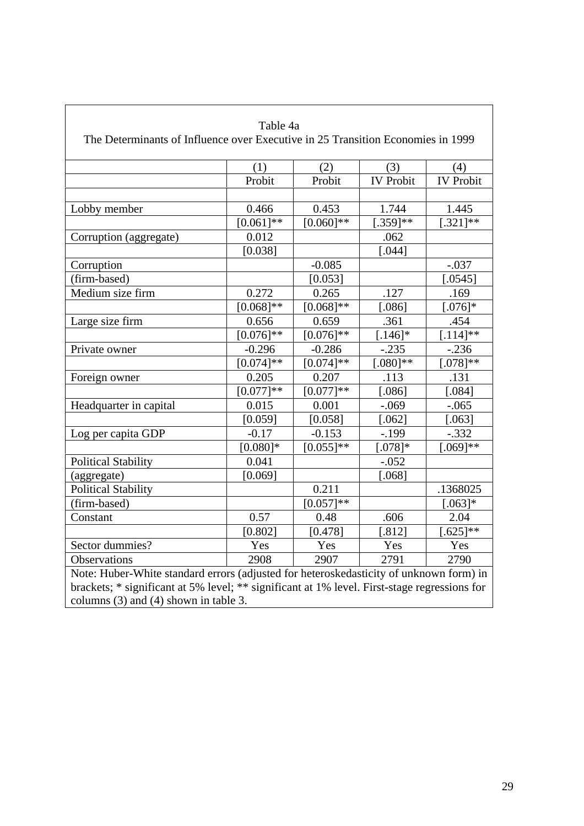| Table 4a                                                                                     |              |              |                  |                  |  |  |
|----------------------------------------------------------------------------------------------|--------------|--------------|------------------|------------------|--|--|
| The Determinants of Influence over Executive in 25 Transition Economies in 1999              |              |              |                  |                  |  |  |
|                                                                                              | (1)          | (2)          | (3)              | (4)              |  |  |
|                                                                                              | Probit       | Probit       | <b>IV Probit</b> | <b>IV Probit</b> |  |  |
|                                                                                              |              |              |                  |                  |  |  |
| Lobby member                                                                                 | 0.466        | 0.453        | 1.744            | 1.445            |  |  |
|                                                                                              | $[0.061]$ ** | $[0.060]$ ** | $[.359]^{**}$    | $[.321]$ **      |  |  |
| Corruption (aggregate)                                                                       | 0.012        |              | .062             |                  |  |  |
|                                                                                              | [0.038]      |              | [.044]           |                  |  |  |
| Corruption                                                                                   |              | $-0.085$     |                  | $-.037$          |  |  |
| (firm-based)                                                                                 |              | [0.053]      |                  | [.0545]          |  |  |
| Medium size firm                                                                             | 0.272        | 0.265        | .127             | .169             |  |  |
|                                                                                              | $[0.068]$ ** | $[0.068]$ ** | [.086]           | $[.076]$ *       |  |  |
| Large size firm                                                                              | 0.656        | 0.659        | .361             | .454             |  |  |
|                                                                                              | $[0.076]$ ** | $[0.076]$ ** | $[.146]$ *       | $[.114]$ **      |  |  |
| Private owner                                                                                | $-0.296$     | $-0.286$     | $-.235$          | $-.236$          |  |  |
|                                                                                              | $[0.074]$ ** | $[0.074]$ ** | $[.080]$ **      | $[.078]$ **      |  |  |
| Foreign owner                                                                                | 0.205        | 0.207        | .113             | .131             |  |  |
|                                                                                              | $[0.077]$ ** | $[0.077]**$  | [.086]           | [.084]           |  |  |
| Headquarter in capital                                                                       | 0.015        | 0.001        | $-.069$          | $-.065$          |  |  |
|                                                                                              | [0.059]      | [0.058]      | [.062]           | [.063]           |  |  |
| Log per capita GDP                                                                           | $-0.17$      | $-0.153$     | $-.199$          | $-.332$          |  |  |
|                                                                                              | $[0.080]*$   | $[0.055]$ ** | $[.078]$ *       | $[.069]$ **      |  |  |
| <b>Political Stability</b>                                                                   | 0.041        |              | $-.052$          |                  |  |  |
| (aggregate)                                                                                  | [0.069]      |              | [.068]           |                  |  |  |
| <b>Political Stability</b>                                                                   |              | 0.211        |                  | .1368025         |  |  |
| (firm-based)                                                                                 |              | $[0.057]**$  |                  | $[.063]$ *       |  |  |
| Constant                                                                                     | 0.57         | 0.48         | .606             | 2.04             |  |  |
|                                                                                              | [0.802]      | [0.478]      | [.812]           | $[.625]^{**}$    |  |  |
| Sector dummies?                                                                              | Yes          | Yes          | Yes              | Yes              |  |  |
| Observations                                                                                 | 2908         | 2907         | 2791             | 2790             |  |  |
| Note: Huber-White standard errors (adjusted for heteroskedasticity of unknown form) in       |              |              |                  |                  |  |  |
| brackets; * significant at 5% level; ** significant at 1% level. First-stage regressions for |              |              |                  |                  |  |  |
| columns $(3)$ and $(4)$ shown in table 3.                                                    |              |              |                  |                  |  |  |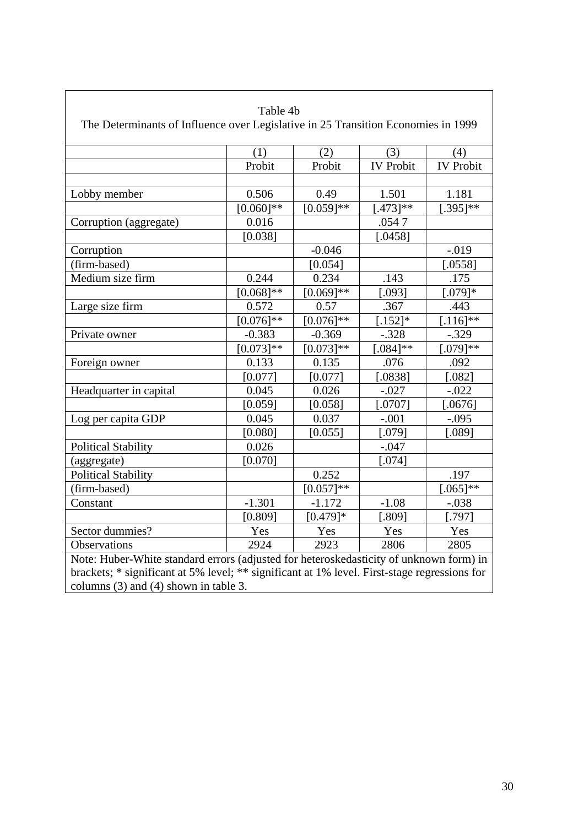| Table 4b                                                                                     |              |              |                  |                  |  |
|----------------------------------------------------------------------------------------------|--------------|--------------|------------------|------------------|--|
| The Determinants of Influence over Legislative in 25 Transition Economies in 1999            |              |              |                  |                  |  |
|                                                                                              |              |              |                  |                  |  |
|                                                                                              | (1)          | (2)          | (3)              | (4)              |  |
|                                                                                              | Probit       | Probit       | <b>IV Probit</b> | <b>IV Probit</b> |  |
|                                                                                              | 0.506        | 0.49         | 1.501            | 1.181            |  |
| Lobby member                                                                                 |              |              |                  |                  |  |
|                                                                                              | $[0.060]$ ** | $[0.059]$ ** | $[.473]$ **      | $[.395]$ **      |  |
| Corruption (aggregate)                                                                       | 0.016        |              | .0547            |                  |  |
|                                                                                              | [0.038]      |              | [.0458]          |                  |  |
| Corruption                                                                                   |              | $-0.046$     |                  | $-0.019$         |  |
| (firm-based)                                                                                 |              | [0.054]      |                  | [.0558]          |  |
| Medium size firm                                                                             | 0.244        | 0.234        | .143             | .175             |  |
|                                                                                              | $[0.068]$ ** | $[0.069]$ ** | [.093]           | $[.079]$ *       |  |
| Large size firm                                                                              | 0.572        | 0.57         | .367             | .443             |  |
|                                                                                              | $[0.076]$ ** | $[0.076]$ ** | $[.152]$ *       | $[.116]$ **      |  |
| Private owner                                                                                | $-0.383$     | $-0.369$     | $-.328$          | $-.329$          |  |
|                                                                                              | $[0.073]**$  | $[0.073]**$  | $[.084]$ **      | $[.079]$ **      |  |
| Foreign owner                                                                                | 0.133        | 0.135        | .076             | .092             |  |
|                                                                                              | [0.077]      | [0.077]      | [.0838]          | [.082]           |  |
| Headquarter in capital                                                                       | 0.045        | 0.026        | $-.027$          | $-.022$          |  |
|                                                                                              | [0.059]      | [0.058]      | [.0707]          | [.0676]          |  |
| Log per capita GDP                                                                           | 0.045        | 0.037        | $-.001$          | $-.095$          |  |
|                                                                                              | [0.080]      | [0.055]      | [.079]           | [.089]           |  |
| <b>Political Stability</b>                                                                   | 0.026        |              | $-.047$          |                  |  |
| (aggregate)                                                                                  | [0.070]      |              | [.074]           |                  |  |
| Political Stability                                                                          |              | 0.252        |                  | .197             |  |
| (firm-based)                                                                                 |              | $[0.057]$ ** |                  | $[.065]$ **      |  |
| Constant                                                                                     | $-1.301$     | $-1.172$     | $-1.08$          | $-.038$          |  |
|                                                                                              | [0.809]      | $[0.479]*$   | [.809]           | [.797]           |  |
| Sector dummies?                                                                              | Yes          | Yes          | Yes              | Yes              |  |
| Observations                                                                                 | 2924         | 2923         | 2806             | 2805             |  |
| Note: Huber-White standard errors (adjusted for heteroskedasticity of unknown form) in       |              |              |                  |                  |  |
| brackets; * significant at 5% level; ** significant at 1% level. First-stage regressions for |              |              |                  |                  |  |

columns (3) and (4) shown in table 3.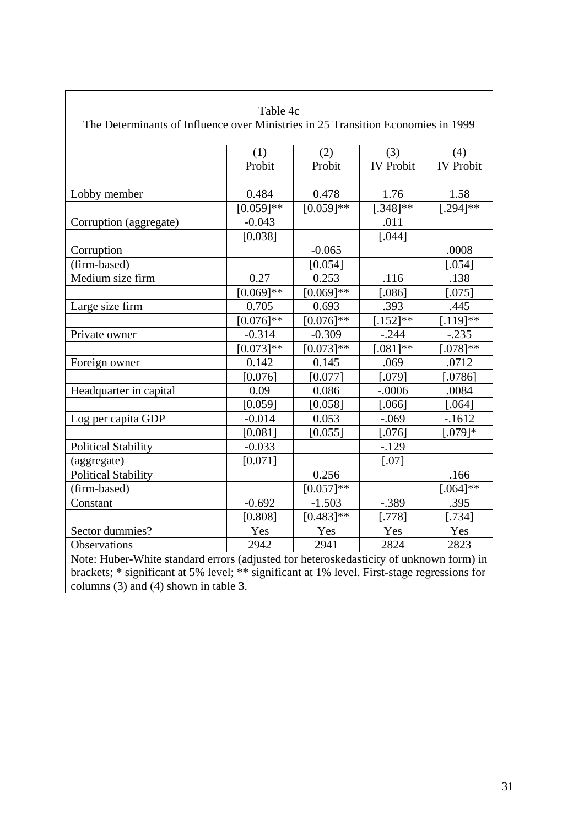| The Determinants of Influence over Ministries in 25 Transition Economies in 1999                                                                                                       | Table 4c     |              |                             |                  |
|----------------------------------------------------------------------------------------------------------------------------------------------------------------------------------------|--------------|--------------|-----------------------------|------------------|
|                                                                                                                                                                                        |              |              |                             |                  |
|                                                                                                                                                                                        | (1)          | (2)          | (3)                         | (4)              |
|                                                                                                                                                                                        | Probit       | Probit       | <b>IV Probit</b>            | <b>IV Probit</b> |
|                                                                                                                                                                                        | 0.484        | 0.478        | 1.76                        | 1.58             |
| Lobby member                                                                                                                                                                           | $[0.059]$ ** | $[0.059]$ ** | $\sqrt{.348}$ <sup>**</sup> | $[.294]^{**}$    |
| Corruption (aggregate)                                                                                                                                                                 | $-0.043$     |              | .011                        |                  |
|                                                                                                                                                                                        | [0.038]      |              | [.044]                      |                  |
| Corruption                                                                                                                                                                             |              | $-0.065$     |                             | .0008            |
| (firm-based)                                                                                                                                                                           |              | [0.054]      |                             | [.054]           |
| Medium size firm                                                                                                                                                                       | 0.27         | 0.253        | .116                        | .138             |
|                                                                                                                                                                                        | $[0.069]$ ** | $[0.069]$ ** | [.086]                      | [.075]           |
| Large size firm                                                                                                                                                                        | 0.705        | 0.693        | .393                        | .445             |
|                                                                                                                                                                                        | $[0.076]$ ** | $[0.076]$ ** | $[.152]$ **                 | $[.119]$ **      |
| Private owner                                                                                                                                                                          | $-0.314$     | $-0.309$     | $-.244$                     | $-.235$          |
|                                                                                                                                                                                        | $[0.073]**$  | $[0.073]**$  | $[.081]$ **                 | $[.078]$ **      |
| Foreign owner                                                                                                                                                                          | 0.142        | 0.145        | .069                        | .0712            |
|                                                                                                                                                                                        | [0.076]      | [0.077]      | [.079]                      | [.0786]          |
| Headquarter in capital                                                                                                                                                                 | 0.09         | 0.086        | $-.0006$                    | .0084            |
|                                                                                                                                                                                        | [0.059]      | [0.058]      | [.066]                      | [.064]           |
| Log per capita GDP                                                                                                                                                                     | $-0.014$     | 0.053        | $-.069$                     | $-1612$          |
|                                                                                                                                                                                        | [0.081]      | [0.055]      | $[.076]$                    | $[.079]$ *       |
| <b>Political Stability</b>                                                                                                                                                             | $-0.033$     |              | $-.129$                     |                  |
| (aggregate)                                                                                                                                                                            | [0.071]      |              | $[.07]$                     |                  |
| <b>Political Stability</b>                                                                                                                                                             |              | 0.256        |                             | .166             |
| (firm-based)                                                                                                                                                                           |              | $[0.057]$ ** |                             | $[.064]$ **      |
| Constant                                                                                                                                                                               | $-0.692$     | $-1.503$     | $-.389$                     | .395             |
|                                                                                                                                                                                        | [0.808]      | $[0.483]$ ** | [.778]                      | [.734]           |
| Sector dummies?                                                                                                                                                                        | Yes          | Yes          | Yes                         | Yes              |
| Observations                                                                                                                                                                           | 2942         | 2941         | 2824                        | 2823             |
| Note: Huber-White standard errors (adjusted for heteroskedasticity of unknown form) in<br>brackets; * significant at 5% level; ** significant at 1% level. First-stage regressions for |              |              |                             |                  |
| columns $(3)$ and $(4)$ shown in table 3.                                                                                                                                              |              |              |                             |                  |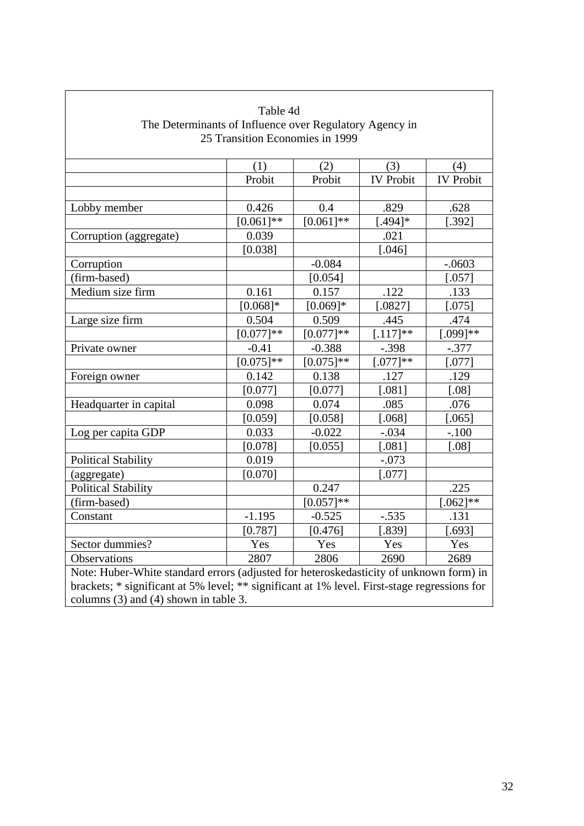| The Determinants of Influence over Regulatory Agency in<br>25 Transition Economies in 1999   |              |              |                  |                  |  |
|----------------------------------------------------------------------------------------------|--------------|--------------|------------------|------------------|--|
|                                                                                              | (1)          | (2)          | (3)              | (4)              |  |
|                                                                                              | Probit       | Probit       | <b>IV Probit</b> | <b>IV Probit</b> |  |
|                                                                                              |              |              |                  |                  |  |
| Lobby member                                                                                 | 0.426        | 0.4          | .829             | .628             |  |
|                                                                                              | $[0.061]$ ** | $[0.061]$ ** | $.4941*$         | [.392]           |  |
| Corruption (aggregate)                                                                       | 0.039        |              | .021             |                  |  |
|                                                                                              | [0.038]      |              | [.046]           |                  |  |
| Corruption                                                                                   |              | $-0.084$     |                  | $-.0603$         |  |
| (firm-based)                                                                                 |              | [0.054]      |                  | [.057]           |  |
| Medium size firm                                                                             | 0.161        | 0.157        | .122             | .133             |  |
|                                                                                              | $[0.068]*$   | $[0.069]*$   | [.0827]          | [.075]           |  |
| Large size firm                                                                              | 0.504        | 0.509        | .445             | .474             |  |
|                                                                                              | $[0.077]$ ** | $[0.077]$ ** | $[.117]$ **      | $[.099]$ **      |  |
| Private owner                                                                                | $-0.41$      | $-0.388$     | $-.398$          | $-.377$          |  |
|                                                                                              | $[0.075]$ ** | $[0.075]$ ** | $[.077]$ **      | [.077]           |  |
| Foreign owner                                                                                | 0.142        | 0.138        | .127             | .129             |  |
|                                                                                              | [0.077]      | [0.077]      | [.081]           | $[.08]$          |  |
| Headquarter in capital                                                                       | 0.098        | 0.074        | .085             | .076             |  |
|                                                                                              | [0.059]      | [0.058]      | [.068]           | [.065]           |  |
| Log per capita GDP                                                                           | 0.033        | $-0.022$     | $-.034$          | $-.100$          |  |
|                                                                                              | [0.078]      | [0.055]      | [.081]           | [.08]            |  |
| <b>Political Stability</b>                                                                   | 0.019        |              | $-.073$          |                  |  |
| (aggregate)                                                                                  | [0.070]      |              | [.077]           |                  |  |
| <b>Political Stability</b>                                                                   |              | 0.247        |                  | .225             |  |
| (firm-based)                                                                                 |              | $[0.057]**$  |                  | $[.062]$ **      |  |
| Constant                                                                                     | $-1.195$     | $-0.525$     | $-.535$          | .131             |  |
|                                                                                              | [0.787]      | [0.476]      | [.839]           | [.693]           |  |
| Sector dummies?                                                                              | Yes          | Yes          | Yes              | Yes              |  |
| Observations                                                                                 | 2807         | 2806         | 2690             | 2689             |  |
| Note: Huber-White standard errors (adjusted for heteroskedasticity of unknown form) in       |              |              |                  |                  |  |
| brackets; * significant at 5% level; ** significant at 1% level. First-stage regressions for |              |              |                  |                  |  |

# Table 4d

columns (3) and (4) shown in table 3.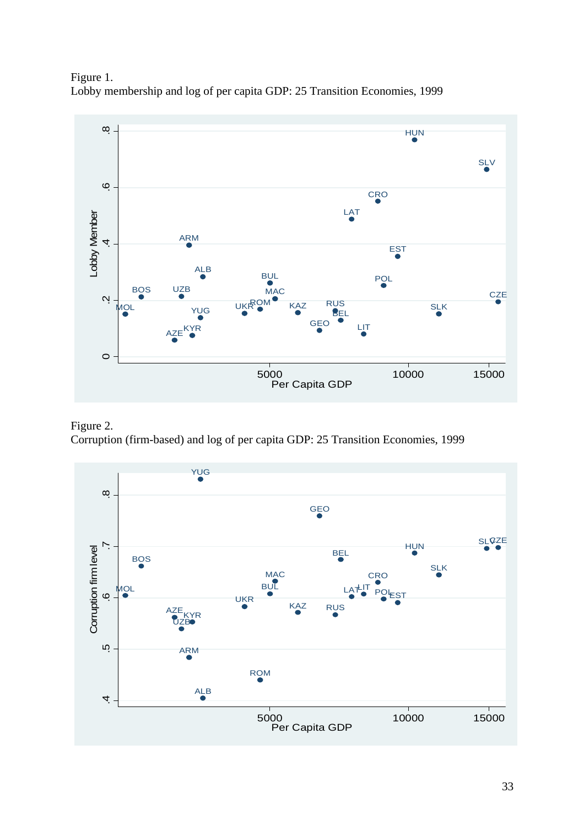



Figure 2. Corruption (firm-based) and log of per capita GDP: 25 Transition Economies, 1999